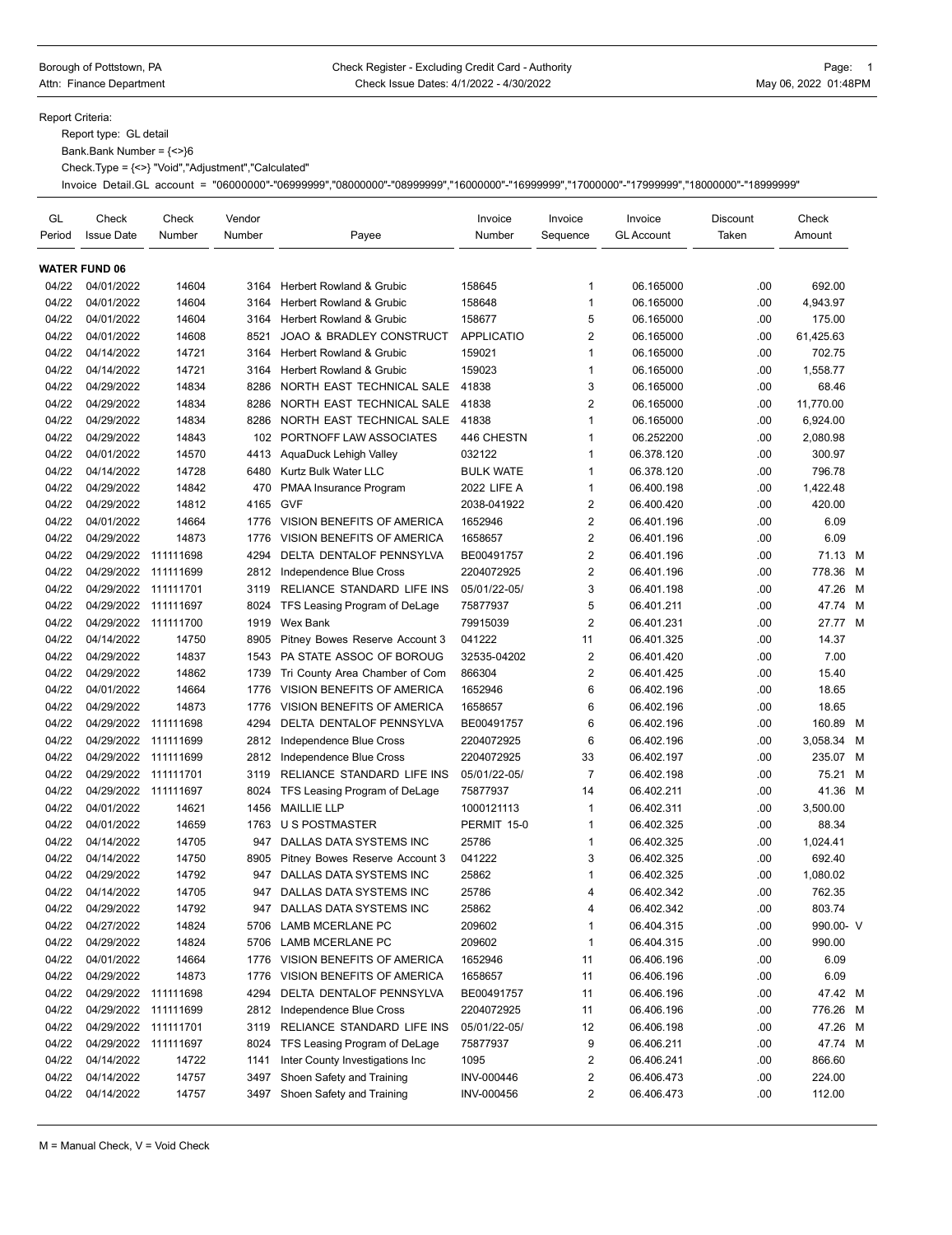#### Borough of Pottstown, PA **Check Register - Excluding Credit Card - Authority** Page: 1 Attn: Finance Department **Check Issue Dates: 4/1/2022 - 4/30/2022** May 06, 2022 01:48PM

Report Criteria:

Report type: GL detail

Bank.Bank Number = {<>}6

Check.Type = {<>} "Void","Adjustment","Calculated"

Invoice Detail.GL account = "06000000"-"06999999","08000000"-"08999999","16000000"-"16999999","17000000"-"17999999","18000000"-"18999999"

| GL<br>Period | Check<br><b>Issue Date</b> | Check<br>Number | Vendor<br>Number | Payee                               | Invoice<br>Number | Invoice<br>Sequence     | Invoice<br><b>GL Account</b> | Discount<br>Taken | Check<br>Amount |   |
|--------------|----------------------------|-----------------|------------------|-------------------------------------|-------------------|-------------------------|------------------------------|-------------------|-----------------|---|
|              | <b>WATER FUND 06</b>       |                 |                  |                                     |                   |                         |                              |                   |                 |   |
| 04/22        | 04/01/2022                 | 14604           | 3164             | Herbert Rowland & Grubic            | 158645            | $\mathbf{1}$            | 06.165000                    | .00               | 692.00          |   |
| 04/22        | 04/01/2022                 | 14604           | 3164             | Herbert Rowland & Grubic            | 158648            | $\mathbf{1}$            | 06.165000                    | .00               | 4,943.97        |   |
| 04/22        | 04/01/2022                 | 14604           | 3164             | <b>Herbert Rowland &amp; Grubic</b> | 158677            | 5                       | 06.165000                    | .00.              | 175.00          |   |
| 04/22        | 04/01/2022                 | 14608           | 8521             | <b>JOAO &amp; BRADLEY CONSTRUCT</b> | <b>APPLICATIO</b> | $\overline{2}$          | 06.165000                    | .00               | 61,425.63       |   |
| 04/22        | 04/14/2022                 | 14721           | 3164             | <b>Herbert Rowland &amp; Grubic</b> | 159021            | $\mathbf 1$             | 06.165000                    | .00.              | 702.75          |   |
| 04/22        | 04/14/2022                 | 14721           | 3164             | Herbert Rowland & Grubic            | 159023            | $\mathbf{1}$            | 06.165000                    | .00.              | 1,558.77        |   |
| 04/22        | 04/29/2022                 | 14834           | 8286             | NORTH EAST TECHNICAL SALE           | 41838             | 3                       | 06.165000                    | .00.              | 68.46           |   |
| 04/22        | 04/29/2022                 | 14834           | 8286             | NORTH EAST TECHNICAL SALE           | 41838             | $\overline{2}$          | 06.165000                    | .00.              | 11.770.00       |   |
| 04/22        | 04/29/2022                 | 14834           | 8286             | NORTH EAST TECHNICAL SALE           | 41838             | $\mathbf{1}$            | 06.165000                    | .00               | 6,924.00        |   |
| 04/22        | 04/29/2022                 | 14843           | 102              | PORTNOFF LAW ASSOCIATES             | 446 CHESTN        | $\mathbf 1$             | 06.252200                    | .00.              | 2,080.98        |   |
| 04/22        | 04/01/2022                 | 14570           | 4413             | AquaDuck Lehigh Valley              | 032122            | $\mathbf{1}$            | 06.378.120                   | .00.              | 300.97          |   |
| 04/22        | 04/14/2022                 | 14728           | 6480             | Kurtz Bulk Water LLC                | <b>BULK WATE</b>  | $\mathbf{1}$            | 06.378.120                   | .00.              | 796.78          |   |
| 04/22        | 04/29/2022                 | 14842           | 470              | <b>PMAA Insurance Program</b>       | 2022 LIFE A       | $\mathbf{1}$            | 06.400.198                   | .00.              | 1,422.48        |   |
| 04/22        | 04/29/2022                 | 14812           | 4165             | <b>GVF</b>                          | 2038-041922       | $\overline{2}$          | 06.400.420                   | .00.              | 420.00          |   |
| 04/22        | 04/01/2022                 | 14664           | 1776             | VISION BENEFITS OF AMERICA          | 1652946           | $\overline{2}$          | 06.401.196                   | .00.              | 6.09            |   |
| 04/22        | 04/29/2022                 | 14873           | 1776             | VISION BENEFITS OF AMERICA          | 1658657           | $\overline{2}$          | 06.401.196                   | .00               | 6.09            |   |
| 04/22        | 04/29/2022                 | 111111698       | 4294             | DELTA DENTALOF PENNSYLVA            | BE00491757        | $\overline{2}$          | 06.401.196                   | .00               | 71.13 M         |   |
| 04/22        | 04/29/2022                 | 111111699       | 2812             | Independence Blue Cross             | 2204072925        | $\overline{2}$          | 06.401.196                   | .00               | 778.36          | M |
| 04/22        | 04/29/2022                 | 111111701       | 3119             | RELIANCE STANDARD LIFE INS          | 05/01/22-05/      | 3                       | 06.401.198                   | .00               | 47.26 M         |   |
| 04/22        | 04/29/2022                 | 111111697       | 8024             | TFS Leasing Program of DeLage       | 75877937          | 5                       | 06.401.211                   | .00.              | 47.74 M         |   |
| 04/22        | 04/29/2022                 | 111111700       | 1919             | <b>Wex Bank</b>                     | 79915039          | $\overline{2}$          | 06.401.231                   | .00.              | 27.77 M         |   |
| 04/22        | 04/14/2022                 |                 |                  |                                     |                   |                         |                              |                   | 14.37           |   |
|              |                            | 14750           | 8905             | Pitney Bowes Reserve Account 3      | 041222            | 11                      | 06.401.325                   | .00               |                 |   |
| 04/22        | 04/29/2022                 | 14837           | 1543             | PA STATE ASSOC OF BOROUG            | 32535-04202       | $\overline{2}$          | 06.401.420                   | .00.              | 7.00            |   |
| 04/22        | 04/29/2022                 | 14862           | 1739             | Tri County Area Chamber of Com      | 866304            | $\overline{2}$          | 06.401.425                   | .00               | 15.40           |   |
| 04/22        | 04/01/2022                 | 14664           | 1776             | VISION BENEFITS OF AMERICA          | 1652946           | 6                       | 06.402.196                   | .00.              | 18.65           |   |
| 04/22        | 04/29/2022                 | 14873           | 1776             | VISION BENEFITS OF AMERICA          | 1658657           | 6                       | 06.402.196                   | .00               | 18.65           |   |
| 04/22        | 04/29/2022                 | 111111698       | 4294             | DELTA DENTALOF PENNSYLVA            | BE00491757        | 6                       | 06.402.196                   | .00               | 160.89 M        |   |
| 04/22        | 04/29/2022                 | 111111699       | 2812             | Independence Blue Cross             | 2204072925        | 6                       | 06.402.196                   | .00               | 3,058.34 M      |   |
| 04/22        | 04/29/2022                 | 111111699       | 2812             | Independence Blue Cross             | 2204072925        | 33                      | 06.402.197                   | .00               | 235.07 M        |   |
| 04/22        | 04/29/2022                 | 111111701       | 3119             | RELIANCE STANDARD LIFE INS          | 05/01/22-05/      | $\overline{7}$          | 06.402.198                   | .00.              | 75.21 M         |   |
| 04/22        | 04/29/2022                 | 111111697       | 8024             | TFS Leasing Program of DeLage       | 75877937          | 14                      | 06.402.211                   | .00.              | 41.36 M         |   |
| 04/22        | 04/01/2022                 | 14621           | 1456             | <b>MAILLIE LLP</b>                  | 1000121113        | $\mathbf{1}$            | 06.402.311                   | .00               | 3,500.00        |   |
| 04/22        | 04/01/2022                 | 14659           | 1763             | <b>U S POSTMASTER</b>               | PERMIT 15-0       | $\mathbf{1}$            | 06.402.325                   | .00.              | 88.34           |   |
| 04/22        | 04/14/2022                 | 14705           | 947              | DALLAS DATA SYSTEMS INC             | 25786             | $\mathbf{1}$            | 06.402.325                   | .00               | 1,024.41        |   |
| 04/22        | 04/14/2022                 | 14750           | 8905             | Pitney Bowes Reserve Account 3      | 041222            | 3                       | 06.402.325                   | .00               | 692.40          |   |
| 04/22        | 04/29/2022                 | 14792           | 947              | DALLAS DATA SYSTEMS INC             | 25862             | $\mathbf{1}$            | 06.402.325                   | .00               | 1,080.02        |   |
| 04/22        | 04/14/2022                 | 14705           | 947              | DALLAS DATA SYSTEMS INC             | 25786             | 4                       | 06.402.342                   | .00               | 762.35          |   |
| 04/22        | 04/29/2022                 | 14792           | 947              | DALLAS DATA SYSTEMS INC             | 25862             | 4                       | 06.402.342                   | .00               | 803.74          |   |
| 04/22        | 04/27/2022                 | 14824           | 5706             | LAMB MCERLANE PC                    | 209602            | $\mathbf{1}$            | 06.404.315                   | .00               | 990.00- V       |   |
| 04/22        | 04/29/2022                 | 14824           | 5706             | <b>LAMB MCERLANE PC</b>             | 209602            | $\mathbf{1}$            | 06.404.315                   | .00.              | 990.00          |   |
| 04/22        | 04/01/2022                 | 14664           | 1776             | VISION BENEFITS OF AMERICA          | 1652946           | 11                      | 06.406.196                   | .00               | 6.09            |   |
| 04/22        | 04/29/2022                 | 14873           | 1776             | VISION BENEFITS OF AMERICA          | 1658657           | 11                      | 06.406.196                   | .00               | 6.09            |   |
| 04/22        | 04/29/2022 111111698       |                 | 4294             | DELTA DENTALOF PENNSYLVA            | BE00491757        | 11                      | 06.406.196                   | .00               | 47.42 M         |   |
| 04/22        | 04/29/2022                 | 111111699       | 2812             | Independence Blue Cross             | 2204072925        | 11                      | 06.406.196                   | .00               | 776.26 M        |   |
| 04/22        | 04/29/2022 111111701       |                 | 3119             | RELIANCE STANDARD LIFE INS          | 05/01/22-05/      | 12                      | 06.406.198                   | .00               | 47.26 M         |   |
| 04/22        | 04/29/2022                 | 111111697       | 8024             | TFS Leasing Program of DeLage       | 75877937          | 9                       | 06.406.211                   | .00               | 47.74 M         |   |
| 04/22        | 04/14/2022                 | 14722           | 1141             | Inter County Investigations Inc     | 1095              | 2                       | 06.406.241                   | .00               | 866.60          |   |
| 04/22        | 04/14/2022                 | 14757           | 3497             | Shoen Safety and Training           | INV-000446        | $\overline{\mathbf{c}}$ | 06.406.473                   | .00               | 224.00          |   |
| 04/22        | 04/14/2022                 | 14757           |                  | 3497 Shoen Safety and Training      | INV-000456        | $\overline{\mathbf{c}}$ | 06.406.473                   | .00               | 112.00          |   |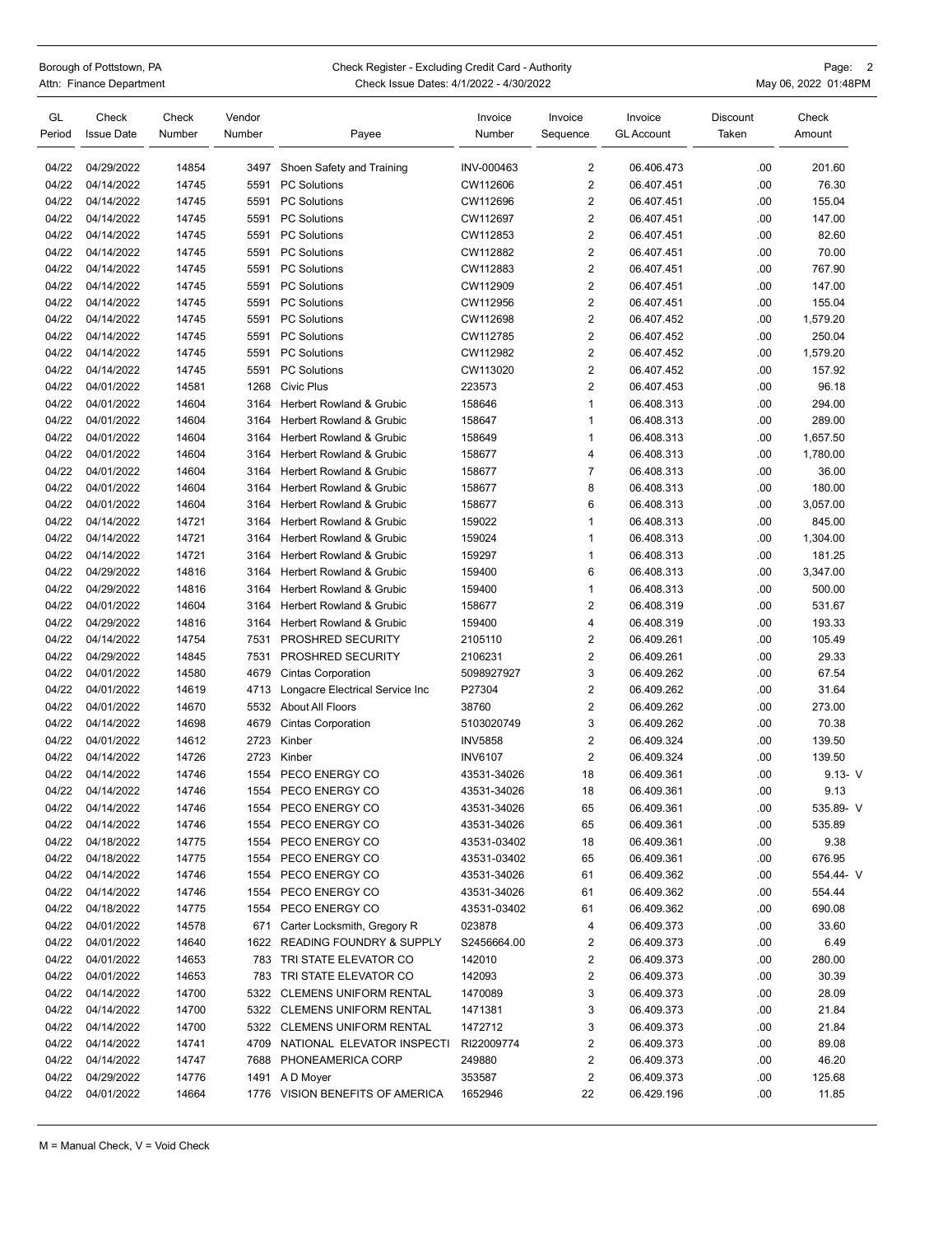# Borough of Pottstown, PA **Check Register - Excluding Credit Card** - Authority **CHO** Crequent Card - Authority

| <b>DUIUUUII UI FULSLUWII. FA</b> | Crieck Register - Excluding Credit Card - Additionty | -aye.                |
|----------------------------------|------------------------------------------------------|----------------------|
| Attn: Finance Department         | Check Issue Dates: 4/1/2022 - 4/30/2022              | May 06, 2022 01:48PM |

| GL<br>Period | Check<br><b>Issue Date</b> | Check<br>Number | Vendor<br>Number | Payee                               | Invoice<br>Number | Invoice<br>Sequence     | Invoice<br><b>GL Account</b> | Discount<br>Taken | Check<br>Amount |
|--------------|----------------------------|-----------------|------------------|-------------------------------------|-------------------|-------------------------|------------------------------|-------------------|-----------------|
| 04/22        | 04/29/2022                 | 14854           | 3497             | Shoen Safety and Training           | INV-000463        | $\overline{2}$          | 06.406.473                   | .00               | 201.60          |
| 04/22        | 04/14/2022                 | 14745           | 5591             | <b>PC Solutions</b>                 | CW112606          | $\overline{2}$          | 06.407.451                   | .00               | 76.30           |
| 04/22        | 04/14/2022                 | 14745           | 5591             | <b>PC Solutions</b>                 | CW112696          | $\sqrt{2}$              | 06.407.451                   | .00               | 155.04          |
| 04/22        | 04/14/2022                 | 14745           | 5591             | <b>PC Solutions</b>                 | CW112697          | $\overline{2}$          | 06.407.451                   | .00               | 147.00          |
| 04/22        | 04/14/2022                 | 14745           | 5591             | <b>PC Solutions</b>                 | CW112853          | $\overline{2}$          | 06.407.451                   | .00               | 82.60           |
| 04/22        | 04/14/2022                 | 14745           | 5591             | <b>PC Solutions</b>                 | CW112882          | $\overline{2}$          | 06.407.451                   | .00               | 70.00           |
| 04/22        | 04/14/2022                 | 14745           | 5591             | <b>PC Solutions</b>                 | CW112883          | $\overline{2}$          | 06.407.451                   | .00               | 767.90          |
| 04/22        | 04/14/2022                 | 14745           | 5591             | <b>PC Solutions</b>                 | CW112909          | $\sqrt{2}$              | 06.407.451                   | .00               | 147.00          |
| 04/22        | 04/14/2022                 | 14745           | 5591             | <b>PC Solutions</b>                 | CW112956          | $\overline{2}$          | 06.407.451                   | .00               | 155.04          |
| 04/22        | 04/14/2022                 | 14745           | 5591             | <b>PC Solutions</b>                 | CW112698          | $\overline{2}$          | 06.407.452                   | .00               | 1,579.20        |
| 04/22        | 04/14/2022                 | 14745           | 5591             | <b>PC Solutions</b>                 | CW112785          | $\overline{2}$          | 06.407.452                   | .00               | 250.04          |
| 04/22        | 04/14/2022                 | 14745           | 5591             | <b>PC Solutions</b>                 | CW112982          | $\overline{2}$          | 06.407.452                   | .00               | 1,579.20        |
| 04/22        | 04/14/2022                 | 14745           | 5591             | <b>PC Solutions</b>                 | CW113020          | $\sqrt{2}$              | 06.407.452                   | .00               | 157.92          |
| 04/22        | 04/01/2022                 | 14581           | 1268             | <b>Civic Plus</b>                   | 223573            | $\overline{2}$          | 06.407.453                   | .00               | 96.18           |
| 04/22        | 04/01/2022                 | 14604           | 3164             | Herbert Rowland & Grubic            | 158646            | $\mathbf{1}$            | 06.408.313                   | .00               | 294.00          |
| 04/22        | 04/01/2022                 | 14604           | 3164             | Herbert Rowland & Grubic            | 158647            | $\overline{1}$          | 06.408.313                   | .00               | 289.00          |
| 04/22        | 04/01/2022                 | 14604           | 3164             | Herbert Rowland & Grubic            | 158649            | $\mathbf{1}$            | 06.408.313                   | .00               | 1,657.50        |
| 04/22        | 04/01/2022                 | 14604           | 3164             | Herbert Rowland & Grubic            | 158677            | $\overline{4}$          | 06.408.313                   | .00               | 1,780.00        |
| 04/22        | 04/01/2022                 | 14604           | 3164             | <b>Herbert Rowland &amp; Grubic</b> | 158677            | $\overline{7}$          | 06.408.313                   | .00               | 36.00           |
| 04/22        | 04/01/2022                 | 14604           | 3164             | Herbert Rowland & Grubic            | 158677            | 8                       | 06.408.313                   | .00               | 180.00          |
| 04/22        | 04/01/2022                 | 14604           | 3164             | Herbert Rowland & Grubic            | 158677            | 6                       | 06.408.313                   | .00               | 3,057.00        |
| 04/22        | 04/14/2022                 | 14721           | 3164             | Herbert Rowland & Grubic            | 159022            | $\mathbf{1}$            | 06.408.313                   | .00               | 845.00          |
| 04/22        | 04/14/2022                 | 14721           | 3164             | Herbert Rowland & Grubic            | 159024            | $\overline{1}$          | 06.408.313                   | .00               | 1,304.00        |
| 04/22        | 04/14/2022                 | 14721           | 3164             | Herbert Rowland & Grubic            | 159297            | $\mathbf{1}$            | 06.408.313                   | .00               | 181.25          |
| 04/22        | 04/29/2022                 | 14816           | 3164             | Herbert Rowland & Grubic            | 159400            | 6                       | 06.408.313                   | .00               | 3,347.00        |
| 04/22        | 04/29/2022                 | 14816           | 3164             | Herbert Rowland & Grubic            | 159400            | $\overline{1}$          | 06.408.313                   | .00               | 500.00          |
| 04/22        | 04/01/2022                 | 14604           | 3164             | Herbert Rowland & Grubic            | 158677            | $\overline{2}$          | 06.408.319                   | .00               | 531.67          |
| 04/22        | 04/29/2022                 | 14816           | 3164             | Herbert Rowland & Grubic            | 159400            | 4                       | 06.408.319                   | .00               | 193.33          |
| 04/22        | 04/14/2022                 | 14754           | 7531             | PROSHRED SECURITY                   | 2105110           | $\overline{2}$          | 06.409.261                   | .00               | 105.49          |
| 04/22        | 04/29/2022                 | 14845           | 7531             | PROSHRED SECURITY                   | 2106231           | $\overline{2}$          | 06.409.261                   | .00               | 29.33           |
| 04/22        | 04/01/2022                 | 14580           | 4679             | <b>Cintas Corporation</b>           | 5098927927        | 3                       | 06.409.262                   | .00               | 67.54           |
| 04/22        | 04/01/2022                 | 14619           | 4713             | Longacre Electrical Service Inc     | P27304            | $\overline{2}$          | 06.409.262                   | .00               | 31.64           |
| 04/22        | 04/01/2022                 | 14670           | 5532             | About All Floors                    | 38760             | $\sqrt{2}$              | 06.409.262                   | .00               | 273.00          |
| 04/22        | 04/14/2022                 | 14698           | 4679             | <b>Cintas Corporation</b>           | 5103020749        | 3                       | 06.409.262                   | .00               | 70.38           |
| 04/22        | 04/01/2022                 | 14612           | 2723             | Kinber                              | <b>INV5858</b>    | $\overline{2}$          | 06.409.324                   | .00               | 139.50          |
| 04/22        | 04/14/2022                 | 14726           | 2723             | Kinber                              | <b>INV6107</b>    | $\overline{2}$          | 06.409.324                   | .00               | 139.50          |
| 04/22        | 04/14/2022                 | 14746           | 1554             | PECO ENERGY CO                      | 43531-34026       | 18                      | 06.409.361                   | .00               | $9.13 - V$      |
| 04/22        | 04/14/2022                 | 14746           | 1554             | PECO ENERGY CO                      | 43531-34026       | 18                      | 06.409.361                   | .00               | 9.13            |
| 04/22        | 04/14/2022                 | 14746           |                  | 1554 PECO ENERGY CO                 | 43531-34026       | 65                      | 06.409.361                   | .00               | 535.89- V       |
| 04/22        | 04/14/2022                 | 14746           |                  | 1554 PECO ENERGY CO                 | 43531-34026       | 65                      | 06.409.361                   | .00               | 535.89          |
| 04/22        | 04/18/2022                 | 14775           | 1554             | PECO ENERGY CO                      | 43531-03402       | 18                      | 06.409.361                   | .00               | 9.38            |
| 04/22        | 04/18/2022                 | 14775           | 1554             | PECO ENERGY CO                      | 43531-03402       | 65                      | 06.409.361                   | .00               | 676.95          |
| 04/22        | 04/14/2022                 | 14746           |                  | 1554 PECO ENERGY CO                 | 43531-34026       | 61                      | 06.409.362                   | .00               | 554.44- V       |
| 04/22        | 04/14/2022                 | 14746           | 1554             | PECO ENERGY CO                      | 43531-34026       | 61                      | 06.409.362                   | .00               | 554.44          |
| 04/22        | 04/18/2022                 | 14775           | 1554             | PECO ENERGY CO                      | 43531-03402       | 61                      | 06.409.362                   | .00               | 690.08          |
| 04/22        | 04/01/2022                 | 14578           | 671              | Carter Locksmith, Gregory R         | 023878            | 4                       | 06.409.373                   | .00               | 33.60           |
| 04/22        | 04/01/2022                 | 14640           | 1622             | <b>READING FOUNDRY &amp; SUPPLY</b> | S2456664.00       | $\overline{\mathbf{c}}$ | 06.409.373                   | .00               | 6.49            |
| 04/22        | 04/01/2022                 | 14653           |                  | 783 TRI STATE ELEVATOR CO           | 142010            | $\overline{\mathbf{c}}$ | 06.409.373                   | .00               | 280.00          |
| 04/22        | 04/01/2022                 | 14653           |                  | 783 TRI STATE ELEVATOR CO           | 142093            | 2                       | 06.409.373                   | .00               | 30.39           |
| 04/22        | 04/14/2022                 | 14700           |                  | 5322 CLEMENS UNIFORM RENTAL         | 1470089           | 3                       | 06.409.373                   | .00               | 28.09           |
| 04/22        | 04/14/2022                 | 14700           |                  | 5322 CLEMENS UNIFORM RENTAL         | 1471381           | 3                       | 06.409.373                   | .00               | 21.84           |
| 04/22        | 04/14/2022                 | 14700           |                  | 5322 CLEMENS UNIFORM RENTAL         | 1472712           | 3                       | 06.409.373                   | .00               | 21.84           |
| 04/22        | 04/14/2022                 | 14741           | 4709             | NATIONAL ELEVATOR INSPECTI          | RI22009774        | 2                       | 06.409.373                   | .00               | 89.08           |
| 04/22        | 04/14/2022                 | 14747           | 7688             | PHONEAMERICA CORP                   | 249880            | 2                       | 06.409.373                   | .00               | 46.20           |
| 04/22        | 04/29/2022                 | 14776           |                  | 1491 AD Moyer                       | 353587            | $\overline{2}$          | 06.409.373                   | .00               | 125.68          |
| 04/22        | 04/01/2022                 | 14664           |                  | 1776 VISION BENEFITS OF AMERICA     | 1652946           | 22                      | 06.429.196                   | .00               | 11.85           |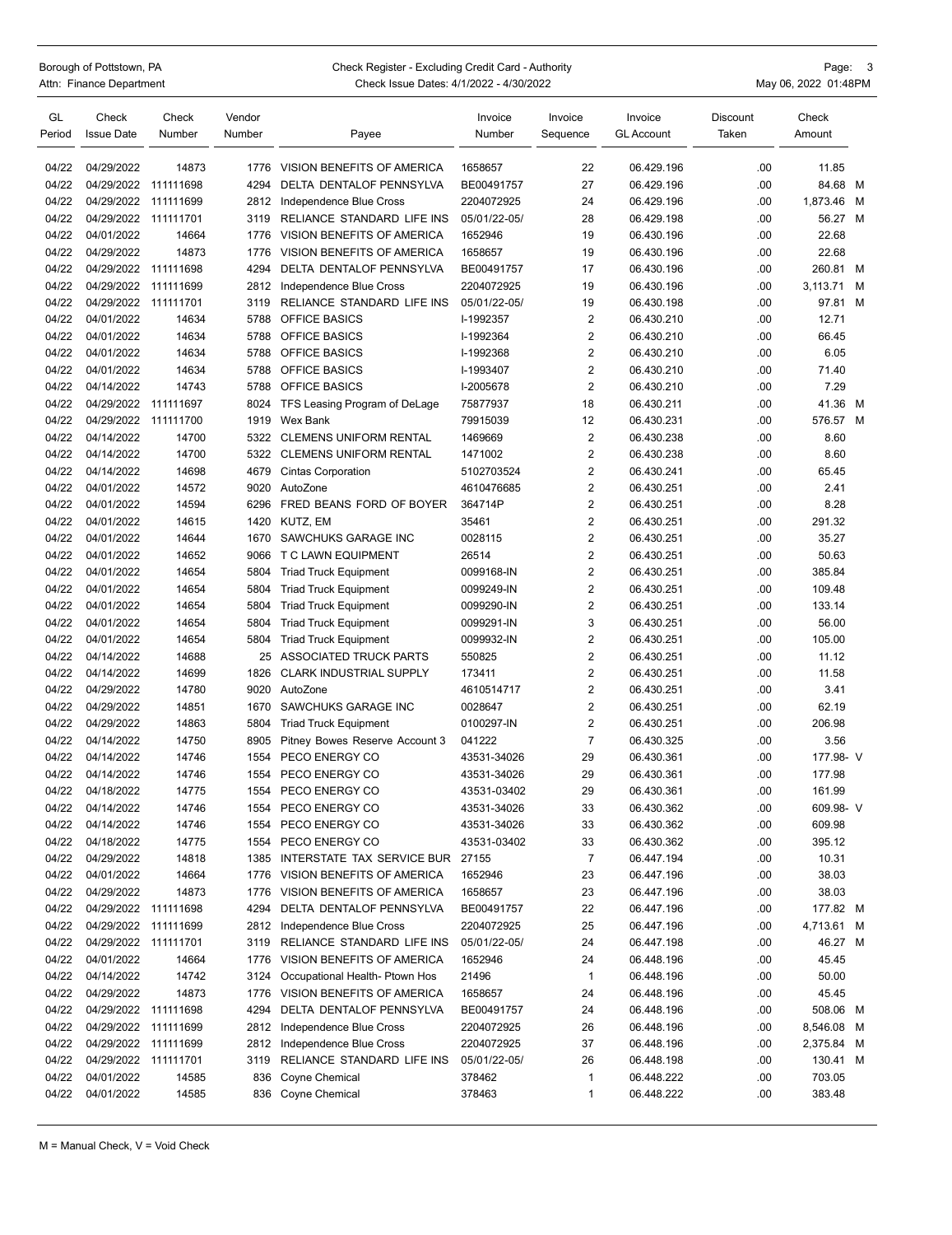Borough of Pottstown, PA Check Register - Excluding Credit Card - Authority<br>Attn: Finance Department Check Card Check Issue Dates: 3/1/2022 - 4/30/2022 Check Issue Dates: 4/1/2022 - 4/30/2022 **Actual Check Issue Dates: 4/1/2022** - 4/30/2022

|                    | Page: | 3 |
|--------------------|-------|---|
| iv 06 2022 01:48PM |       |   |

| GL<br>Period   | Check<br><b>Issue Date</b>         | Check<br>Number | Vendor<br>Number | Payee                                                    | Invoice<br>Number       | Invoice<br>Sequence | Invoice<br><b>GL Account</b> | Discount<br>Taken | Check<br>Amount |   |
|----------------|------------------------------------|-----------------|------------------|----------------------------------------------------------|-------------------------|---------------------|------------------------------|-------------------|-----------------|---|
|                |                                    |                 |                  |                                                          |                         |                     |                              |                   |                 |   |
| 04/22          | 04/29/2022                         | 14873           | 1776             | VISION BENEFITS OF AMERICA                               | 1658657                 | 22                  | 06.429.196                   | .00               | 11.85           |   |
| 04/22          | 04/29/2022                         | 111111698       | 4294             | DELTA DENTALOF PENNSYLVA                                 | BE00491757              | 27                  | 06.429.196                   | .00               | 84.68 M         |   |
| 04/22          | 04/29/2022                         | 111111699       | 2812             | Independence Blue Cross                                  | 2204072925              | 24                  | 06.429.196                   | .00               | 1,873.46 M      |   |
| 04/22          | 04/29/2022                         | 111111701       | 3119             | RELIANCE STANDARD LIFE INS                               | 05/01/22-05/            | 28                  | 06.429.198                   | .00               | 56.27 M         |   |
| 04/22          | 04/01/2022                         | 14664           | 1776             | VISION BENEFITS OF AMERICA                               | 1652946                 | 19                  | 06.430.196                   | .00               | 22.68           |   |
| 04/22          | 04/29/2022                         | 14873           | 1776             | VISION BENEFITS OF AMERICA                               | 1658657                 | 19                  | 06.430.196                   | .00               | 22.68           |   |
| 04/22          | 04/29/2022                         | 111111698       | 4294             | DELTA DENTALOF PENNSYLVA                                 | BE00491757              | 17                  | 06.430.196                   | .00               | 260.81 M        |   |
| 04/22          | 04/29/2022                         | 111111699       | 2812             | Independence Blue Cross                                  | 2204072925              | 19                  | 06.430.196                   | .00               | 3,113.71        | M |
| 04/22          | 04/29/2022                         | 111111701       | 3119             | RELIANCE STANDARD LIFE INS                               | 05/01/22-05/            | 19                  | 06.430.198                   | .00               | 97.81 M         |   |
| 04/22          | 04/01/2022                         | 14634           | 5788             | <b>OFFICE BASICS</b>                                     | I-1992357               | $\overline{2}$      | 06.430.210                   | .00               | 12.71           |   |
| 04/22          | 04/01/2022                         | 14634           | 5788             | <b>OFFICE BASICS</b>                                     | I-1992364               | $\overline{2}$      | 06.430.210                   | .00               | 66.45           |   |
| 04/22          | 04/01/2022                         | 14634           | 5788             | <b>OFFICE BASICS</b>                                     | I-1992368               | $\overline{c}$      | 06.430.210                   | .00               | 6.05            |   |
| 04/22          | 04/01/2022                         | 14634           | 5788             | <b>OFFICE BASICS</b>                                     | I-1993407               | $\overline{2}$      | 06.430.210                   | .00               | 71.40           |   |
| 04/22          | 04/14/2022                         | 14743           | 5788             | <b>OFFICE BASICS</b>                                     | I-2005678               | $\overline{2}$      | 06.430.210                   | .00               | 7.29            |   |
| 04/22          | 04/29/2022                         | 111111697       | 8024             | TFS Leasing Program of DeLage                            | 75877937                | 18                  | 06.430.211                   | .00               | 41.36           | M |
| 04/22          | 04/29/2022                         | 111111700       | 1919             | Wex Bank                                                 | 79915039                | 12                  | 06.430.231                   | .00               | 576.57 M        |   |
| 04/22          | 04/14/2022                         | 14700           | 5322             | <b>CLEMENS UNIFORM RENTAL</b>                            | 1469669                 | $\overline{c}$      | 06.430.238                   | .00               | 8.60            |   |
| 04/22          | 04/14/2022                         | 14700           | 5322             | <b>CLEMENS UNIFORM RENTAL</b>                            | 1471002                 | $\overline{2}$      | 06.430.238                   | .00               | 8.60            |   |
| 04/22          | 04/14/2022                         | 14698           | 4679             | <b>Cintas Corporation</b>                                | 5102703524              | $\overline{2}$      | 06.430.241                   | .00               | 65.45           |   |
| 04/22          | 04/01/2022                         | 14572           | 9020             | AutoZone                                                 | 4610476685              | $\overline{2}$      | 06.430.251                   | .00               | 2.41            |   |
| 04/22          | 04/01/2022                         | 14594           | 6296             | FRED BEANS FORD OF BOYER                                 | 364714P                 | $\overline{2}$      | 06.430.251                   | .00               | 8.28            |   |
| 04/22          | 04/01/2022                         | 14615           | 1420             | KUTZ, EM                                                 | 35461                   | $\overline{c}$      | 06.430.251                   | .00               | 291.32          |   |
| 04/22          | 04/01/2022                         | 14644           | 1670             | SAWCHUKS GARAGE INC                                      | 0028115                 | $\sqrt{2}$          | 06.430.251                   | .00               | 35.27           |   |
| 04/22          | 04/01/2022                         | 14652           | 9066             | T C LAWN EQUIPMENT                                       | 26514                   | $\overline{2}$      | 06.430.251                   | .00               | 50.63           |   |
| 04/22          | 04/01/2022                         | 14654           | 5804             | <b>Triad Truck Equipment</b>                             | 0099168-IN              | $\overline{2}$      | 06.430.251                   | .00               | 385.84          |   |
| 04/22          | 04/01/2022                         | 14654           | 5804             | <b>Triad Truck Equipment</b>                             | 0099249-IN              | $\overline{c}$      | 06.430.251                   | .00               | 109.48          |   |
| 04/22          | 04/01/2022                         | 14654           | 5804             | <b>Triad Truck Equipment</b>                             | 0099290-IN              | $\overline{c}$      | 06.430.251                   | .00               | 133.14          |   |
| 04/22          | 04/01/2022                         | 14654           | 5804             | <b>Triad Truck Equipment</b>                             | 0099291-IN              | 3                   | 06.430.251                   | .00               | 56.00           |   |
| 04/22          | 04/01/2022                         | 14654           | 5804             | <b>Triad Truck Equipment</b>                             | 0099932-IN              | $\overline{2}$      | 06.430.251                   | .00               | 105.00          |   |
| 04/22          | 04/14/2022                         | 14688           | 25               | ASSOCIATED TRUCK PARTS                                   | 550825                  | $\overline{2}$      | 06.430.251                   | .00               | 11.12           |   |
| 04/22          | 04/14/2022                         | 14699           | 1826             | <b>CLARK INDUSTRIAL SUPPLY</b>                           | 173411                  | $\sqrt{2}$          | 06.430.251                   | .00               | 11.58           |   |
| 04/22          | 04/29/2022                         | 14780           | 9020             | AutoZone                                                 | 4610514717              | $\overline{2}$      | 06.430.251                   | .00               | 3.41            |   |
| 04/22          | 04/29/2022                         | 14851           | 1670             | SAWCHUKS GARAGE INC                                      | 0028647                 | $\sqrt{2}$          | 06.430.251                   | .00               | 62.19           |   |
| 04/22          | 04/29/2022                         | 14863           | 5804             | <b>Triad Truck Equipment</b>                             | 0100297-IN              | $\overline{2}$      | 06.430.251                   | .00               | 206.98          |   |
| 04/22          | 04/14/2022                         | 14750           | 8905             | Pitney Bowes Reserve Account 3                           | 041222                  | $\overline{7}$      | 06.430.325                   | .00               | 3.56            |   |
| 04/22          | 04/14/2022                         | 14746           | 1554             | PECO ENERGY CO                                           | 43531-34026             | 29                  | 06.430.361                   | .00               | 177.98- V       |   |
| 04/22          | 04/14/2022                         | 14746           | 1554             | PECO ENERGY CO                                           | 43531-34026             | 29                  | 06.430.361                   | .00               | 177.98          |   |
| 04/22          | 04/18/2022                         | 14775           | 1554             | PECO ENERGY CO                                           | 43531-03402             | 29                  | 06.430.361                   | .00               | 161.99          |   |
| 04/22          | 04/14/2022                         | 14746           | 1554             | PECO ENERGY CO                                           | 43531-34026             | 33                  | 06.430.362                   | .00               | 609.98- V       |   |
| 04/22          | 04/14/2022                         | 14746           | 1554             | PECO ENERGY CO                                           | 43531-34026             | 33                  | 06.430.362                   | .00               | 609.98          |   |
| 04/22          | 04/18/2022                         | 14775           | 1554             | PECO ENERGY CO                                           | 43531-03402             | 33                  | 06.430.362                   | .00               | 395.12          |   |
| 04/22          | 04/29/2022                         | 14818           | 1385             | INTERSTATE TAX SERVICE BUR                               | 27155                   | 7                   | 06.447.194                   | .00               | 10.31           |   |
| 04/22          | 04/01/2022                         | 14664           | 1776             | VISION BENEFITS OF AMERICA                               | 1652946                 | 23                  | 06.447.196                   | .00               | 38.03           |   |
| 04/22          | 04/29/2022                         | 14873           | 1776             | VISION BENEFITS OF AMERICA                               | 1658657                 | 23                  | 06.447.196                   | .00               | 38.03           |   |
| 04/22          | 04/29/2022                         | 111111698       | 4294             | DELTA DENTALOF PENNSYLVA                                 | BE00491757              | 22                  | 06.447.196                   | .00               | 177.82 M        |   |
| 04/22          | 04/29/2022 111111699               |                 | 2812             | Independence Blue Cross                                  | 2204072925              | 25                  | 06.447.196                   | .00               | 4,713.61 M      |   |
|                |                                    |                 |                  |                                                          |                         |                     |                              |                   |                 |   |
| 04/22<br>04/22 | 04/29/2022 111111701<br>04/01/2022 |                 | 3119             | RELIANCE STANDARD LIFE INS<br>VISION BENEFITS OF AMERICA | 05/01/22-05/<br>1652946 | 24<br>24            | 06.447.198                   | .00<br>.00        | 46.27 M         |   |
|                |                                    | 14664           | 1776             |                                                          |                         |                     | 06.448.196                   |                   | 45.45           |   |
| 04/22          | 04/14/2022                         | 14742           | 3124             | Occupational Health- Ptown Hos                           | 21496                   | $\mathbf{1}$        | 06.448.196                   | .00               | 50.00           |   |
| 04/22          | 04/29/2022                         | 14873           | 1776             | VISION BENEFITS OF AMERICA                               | 1658657                 | 24                  | 06.448.196                   | .00               | 45.45           |   |
| 04/22          | 04/29/2022 111111698               |                 | 4294             | DELTA DENTALOF PENNSYLVA                                 | BE00491757              | 24                  | 06.448.196                   | .00               | 508.06 M        |   |
| 04/22          | 04/29/2022 111111699               |                 | 2812             | Independence Blue Cross                                  | 2204072925              | 26                  | 06.448.196                   | .00               | 8,546.08 M      |   |
| 04/22          | 04/29/2022                         | 111111699       | 2812             | Independence Blue Cross                                  | 2204072925              | 37                  | 06.448.196                   | .00               | 2,375.84 M      |   |
| 04/22          | 04/29/2022 111111701               |                 | 3119             | RELIANCE STANDARD LIFE INS                               | 05/01/22-05/            | 26                  | 06.448.198                   | .00               | 130.41 M        |   |
| 04/22          | 04/01/2022                         | 14585           | 836              | Coyne Chemical                                           | 378462                  | $\mathbf 1$         | 06.448.222                   | .00               | 703.05          |   |
| 04/22          | 04/01/2022                         | 14585           | 836              | Coyne Chemical                                           | 378463                  | $\mathbf{1}$        | 06.448.222                   | .00               | 383.48          |   |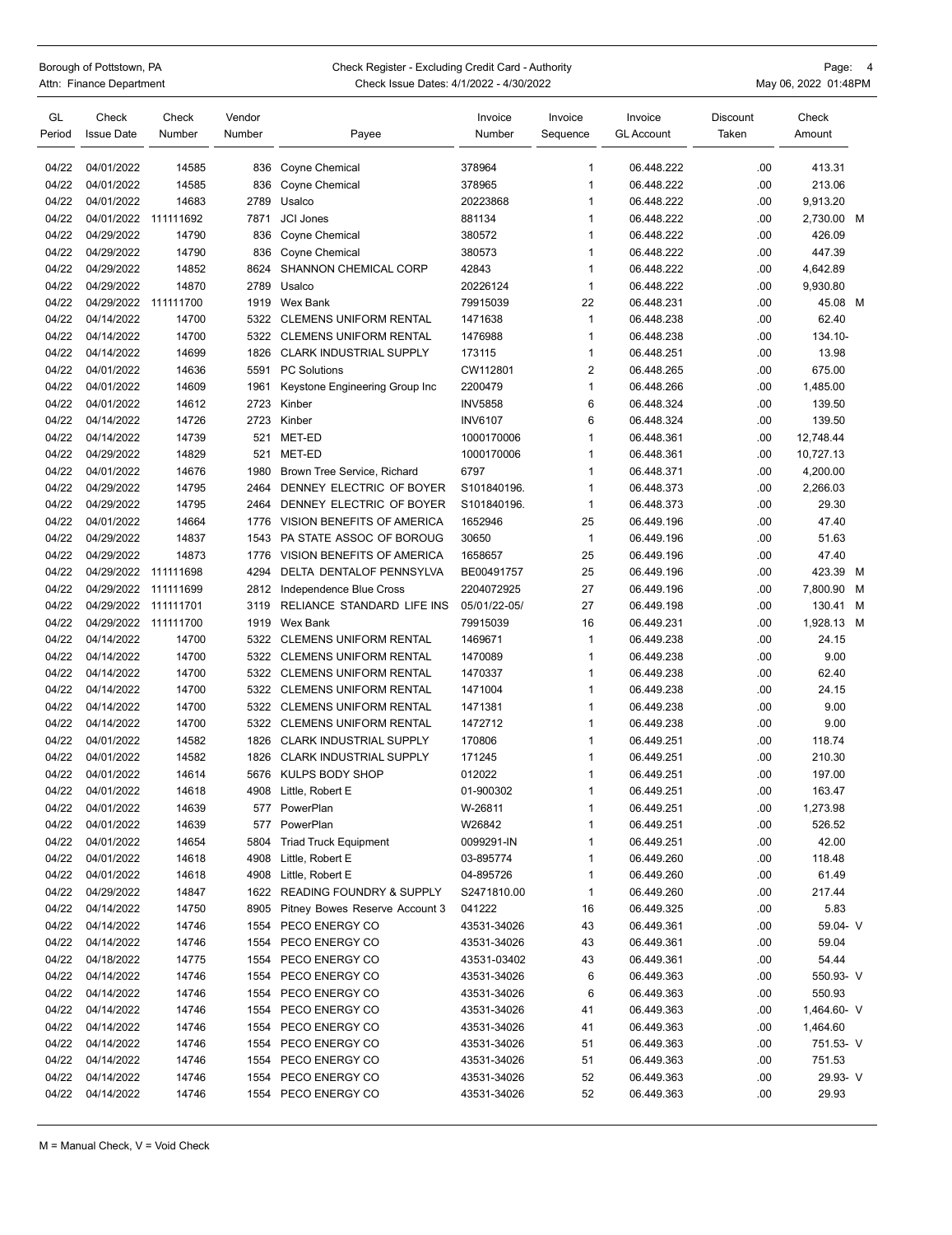## Borough of Pottstown, PA Page: 4 Check Register - Excluding Credit Card - Authority Page: 4<br>Attn: Finance Department Page: 1992 Check Issue Dates: 4/1/2022 - 4/30/2022 Check Issue Dates: 4/1/2022 - 4/30/2022

| GL<br>Period | Check<br><b>Issue Date</b> | Check<br>Number | Vendor<br>Number | Payee                               | Invoice<br>Number | Invoice<br>Sequence | Invoice<br><b>GL Account</b> | Discount<br>Taken | Check<br>Amount |   |
|--------------|----------------------------|-----------------|------------------|-------------------------------------|-------------------|---------------------|------------------------------|-------------------|-----------------|---|
|              |                            |                 |                  |                                     |                   |                     |                              |                   |                 |   |
| 04/22        | 04/01/2022                 | 14585           | 836              | Coyne Chemical                      | 378964            | 1                   | 06.448.222                   | .00.              | 413.31          |   |
| 04/22        | 04/01/2022                 | 14585           | 836              | Coyne Chemical                      | 378965            | $\mathbf{1}$        | 06.448.222                   | .00               | 213.06          |   |
| 04/22        | 04/01/2022                 | 14683           | 2789             | Usalco                              | 20223868          | 1                   | 06.448.222                   | .00.              | 9,913.20        |   |
| 04/22        | 04/01/2022                 | 111111692       | 7871             | <b>JCI Jones</b>                    | 881134            | 1                   | 06.448.222                   | .00               | 2,730.00        | M |
| 04/22        | 04/29/2022                 | 14790           | 836              | Coyne Chemical                      | 380572            | 1                   | 06.448.222                   | .00.              | 426.09          |   |
| 04/22        | 04/29/2022                 | 14790           | 836              | Coyne Chemical                      | 380573            | $\mathbf{1}$        | 06.448.222                   | .00               | 447.39          |   |
| 04/22        | 04/29/2022                 | 14852           | 8624             | <b>SHANNON CHEMICAL CORP</b>        | 42843             | $\mathbf{1}$        | 06.448.222                   | .00               | 4,642.89        |   |
| 04/22        | 04/29/2022                 | 14870           | 2789             | Usalco                              | 20226124          | $\mathbf{1}$        | 06.448.222                   | .00.              | 9,930.80        |   |
| 04/22        | 04/29/2022                 | 111111700       | 1919             | Wex Bank                            | 79915039          | 22                  | 06.448.231                   | .00               | 45.08 M         |   |
| 04/22        | 04/14/2022                 | 14700           | 5322             | <b>CLEMENS UNIFORM RENTAL</b>       | 1471638           | 1                   | 06.448.238                   | .00               | 62.40           |   |
| 04/22        | 04/14/2022                 | 14700           | 5322             | <b>CLEMENS UNIFORM RENTAL</b>       | 1476988           | $\mathbf{1}$        | 06.448.238                   | .00               | 134.10-         |   |
| 04/22        | 04/14/2022                 | 14699           | 1826             | <b>CLARK INDUSTRIAL SUPPLY</b>      | 173115            | $\mathbf{1}$        | 06.448.251                   | .00.              | 13.98           |   |
| 04/22        | 04/01/2022                 | 14636           | 5591             | <b>PC Solutions</b>                 | CW112801          | $\overline{2}$      | 06.448.265                   | .00               | 675.00          |   |
| 04/22        | 04/01/2022                 | 14609           | 1961             | Keystone Engineering Group Inc      | 2200479           | 1                   | 06.448.266                   | .00               | 1,485.00        |   |
| 04/22        | 04/01/2022                 | 14612           | 2723             | Kinber                              | <b>INV5858</b>    | 6                   | 06.448.324                   | .00.              | 139.50          |   |
| 04/22        | 04/14/2022                 | 14726           | 2723             | Kinber                              | <b>INV6107</b>    | 6                   | 06.448.324                   | .00.              | 139.50          |   |
| 04/22        | 04/14/2022                 | 14739           | 521              | MET-ED                              | 1000170006        | $\mathbf{1}$        | 06.448.361                   | .00               | 12,748.44       |   |
| 04/22        | 04/29/2022                 | 14829           | 521              | MET-ED                              | 1000170006        | $\mathbf{1}$        | 06.448.361                   | .00.              | 10,727.13       |   |
| 04/22        | 04/01/2022                 | 14676           | 1980             | Brown Tree Service, Richard         | 6797              | $\mathbf{1}$        | 06.448.371                   | .00               | 4,200.00        |   |
| 04/22        | 04/29/2022                 | 14795           | 2464             | DENNEY ELECTRIC OF BOYER            | S101840196.       | $\mathbf{1}$        | 06.448.373                   | .00               | 2,266.03        |   |
| 04/22        | 04/29/2022                 | 14795           | 2464             | DENNEY ELECTRIC OF BOYER            | S101840196.       | 1                   | 06.448.373                   | .00.              | 29.30           |   |
| 04/22        | 04/01/2022                 | 14664           | 1776             | VISION BENEFITS OF AMERICA          | 1652946           | 25                  | 06.449.196                   | .00.              | 47.40           |   |
| 04/22        | 04/29/2022                 | 14837           | 1543             | PA STATE ASSOC OF BOROUG            | 30650             | $\mathbf{1}$        | 06.449.196                   | .00               | 51.63           |   |
| 04/22        | 04/29/2022                 | 14873           | 1776             | VISION BENEFITS OF AMERICA          | 1658657           | 25                  | 06.449.196                   | .00               | 47.40           |   |
| 04/22        | 04/29/2022                 | 111111698       | 4294             | DELTA DENTALOF PENNSYLVA            | BE00491757        | 25                  | 06.449.196                   | .00.              | 423.39          | M |
| 04/22        | 04/29/2022                 | 111111699       | 2812             | Independence Blue Cross             | 2204072925        | 27                  | 06.449.196                   | .00               | 7,800.90        | м |
| 04/22        | 04/29/2022                 | 111111701       | 3119             | RELIANCE STANDARD LIFE INS          | 05/01/22-05/      | 27                  | 06.449.198                   | .00               | 130.41          | м |
| 04/22        | 04/29/2022 111111700       |                 | 1919             | Wex Bank                            | 79915039          | 16                  | 06.449.231                   | .00               | 1,928.13        | M |
| 04/22        | 04/14/2022                 | 14700           | 5322             | <b>CLEMENS UNIFORM RENTAL</b>       | 1469671           | 1                   | 06.449.238                   | .00               | 24.15           |   |
| 04/22        | 04/14/2022                 | 14700           | 5322             | <b>CLEMENS UNIFORM RENTAL</b>       | 1470089           | 1                   | 06.449.238                   | .00               | 9.00            |   |
| 04/22        | 04/14/2022                 | 14700           | 5322             | <b>CLEMENS UNIFORM RENTAL</b>       | 1470337           | $\mathbf{1}$        | 06.449.238                   | .00.              | 62.40           |   |
| 04/22        | 04/14/2022                 | 14700           | 5322             | <b>CLEMENS UNIFORM RENTAL</b>       | 1471004           | $\mathbf{1}$        | 06.449.238                   | .00               | 24.15           |   |
| 04/22        | 04/14/2022                 | 14700           | 5322             | <b>CLEMENS UNIFORM RENTAL</b>       | 1471381           | $\mathbf{1}$        | 06.449.238                   | .00               | 9.00            |   |
| 04/22        | 04/14/2022                 | 14700           | 5322             | <b>CLEMENS UNIFORM RENTAL</b>       | 1472712           | 1                   | 06.449.238                   | .00               | 9.00            |   |
| 04/22        | 04/01/2022                 | 14582           | 1826             | <b>CLARK INDUSTRIAL SUPPLY</b>      | 170806            | 1                   | 06.449.251                   | .00               | 118.74          |   |
| 04/22        | 04/01/2022                 | 14582           | 1826             | <b>CLARK INDUSTRIAL SUPPLY</b>      | 171245            | $\mathbf{1}$        | 06.449.251                   | .00.              | 210.30          |   |
| 04/22        | 04/01/2022                 | 14614           | 5676             | KULPS BODY SHOP                     | 012022            | 1                   | 06.449.251                   | .00               | 197.00          |   |
| 04/22        | 04/01/2022                 | 14618           | 4908             | Little, Robert E                    | 01-900302         | 1                   | 06.449.251                   | .00.              | 163.47          |   |
| 04/22        | 04/01/2022                 | 14639           |                  | 577 PowerPlan                       | W-26811           | 1                   | 06.449.251                   | .00               | 1,273.98        |   |
| 04/22        | 04/01/2022                 | 14639           |                  | 577 PowerPlan                       | W26842            | 1                   | 06.449.251                   | .00               | 526.52          |   |
| 04/22        | 04/01/2022                 | 14654           | 5804             | <b>Triad Truck Equipment</b>        | 0099291-IN        | 1                   | 06.449.251                   | .00               | 42.00           |   |
| 04/22        | 04/01/2022                 | 14618           | 4908             | Little, Robert E                    | 03-895774         | 1                   | 06.449.260                   | .00               | 118.48          |   |
| 04/22        | 04/01/2022                 | 14618           | 4908             | Little, Robert E                    | 04-895726         | 1                   | 06.449.260                   | .00               | 61.49           |   |
| 04/22        | 04/29/2022                 | 14847           | 1622             | <b>READING FOUNDRY &amp; SUPPLY</b> | S2471810.00       | 1                   | 06.449.260                   | .00               | 217.44          |   |
| 04/22        | 04/14/2022                 | 14750           | 8905             | Pitney Bowes Reserve Account 3      | 041222            | 16                  | 06.449.325                   | .00               | 5.83            |   |
| 04/22        | 04/14/2022                 | 14746           | 1554             | PECO ENERGY CO                      | 43531-34026       | 43                  | 06.449.361                   | .00               | 59.04- V        |   |
| 04/22        | 04/14/2022                 | 14746           | 1554             | PECO ENERGY CO                      | 43531-34026       | 43                  | 06.449.361                   | .00               | 59.04           |   |
| 04/22        | 04/18/2022                 | 14775           | 1554             | PECO ENERGY CO                      | 43531-03402       | 43                  | 06.449.361                   | .00               | 54.44           |   |
| 04/22        | 04/14/2022                 | 14746           | 1554             | PECO ENERGY CO                      | 43531-34026       | 6                   | 06.449.363                   | .00               | 550.93- V       |   |
| 04/22        | 04/14/2022                 | 14746           | 1554             | PECO ENERGY CO                      | 43531-34026       | 6                   | 06.449.363                   | .00               | 550.93          |   |
| 04/22        | 04/14/2022                 | 14746           | 1554             | PECO ENERGY CO                      | 43531-34026       | 41                  | 06.449.363                   | .00               | 1,464.60- V     |   |
| 04/22        | 04/14/2022                 | 14746           | 1554             | PECO ENERGY CO                      | 43531-34026       | 41                  | 06.449.363                   | .00               | 1,464.60        |   |
| 04/22        | 04/14/2022                 | 14746           | 1554             | PECO ENERGY CO                      | 43531-34026       | 51                  | 06.449.363                   | .00               | 751.53- V       |   |
| 04/22        | 04/14/2022                 | 14746           | 1554             | PECO ENERGY CO                      | 43531-34026       | 51                  | 06.449.363                   | .00               | 751.53          |   |
| 04/22        | 04/14/2022                 | 14746           | 1554             | PECO ENERGY CO                      | 43531-34026       | 52                  | 06.449.363                   | .00               | 29.93-V         |   |
| 04/22        | 04/14/2022                 | 14746           | 1554             | PECO ENERGY CO                      | 43531-34026       | 52                  | 06.449.363                   | .00               | 29.93           |   |
|              |                            |                 |                  |                                     |                   |                     |                              |                   |                 |   |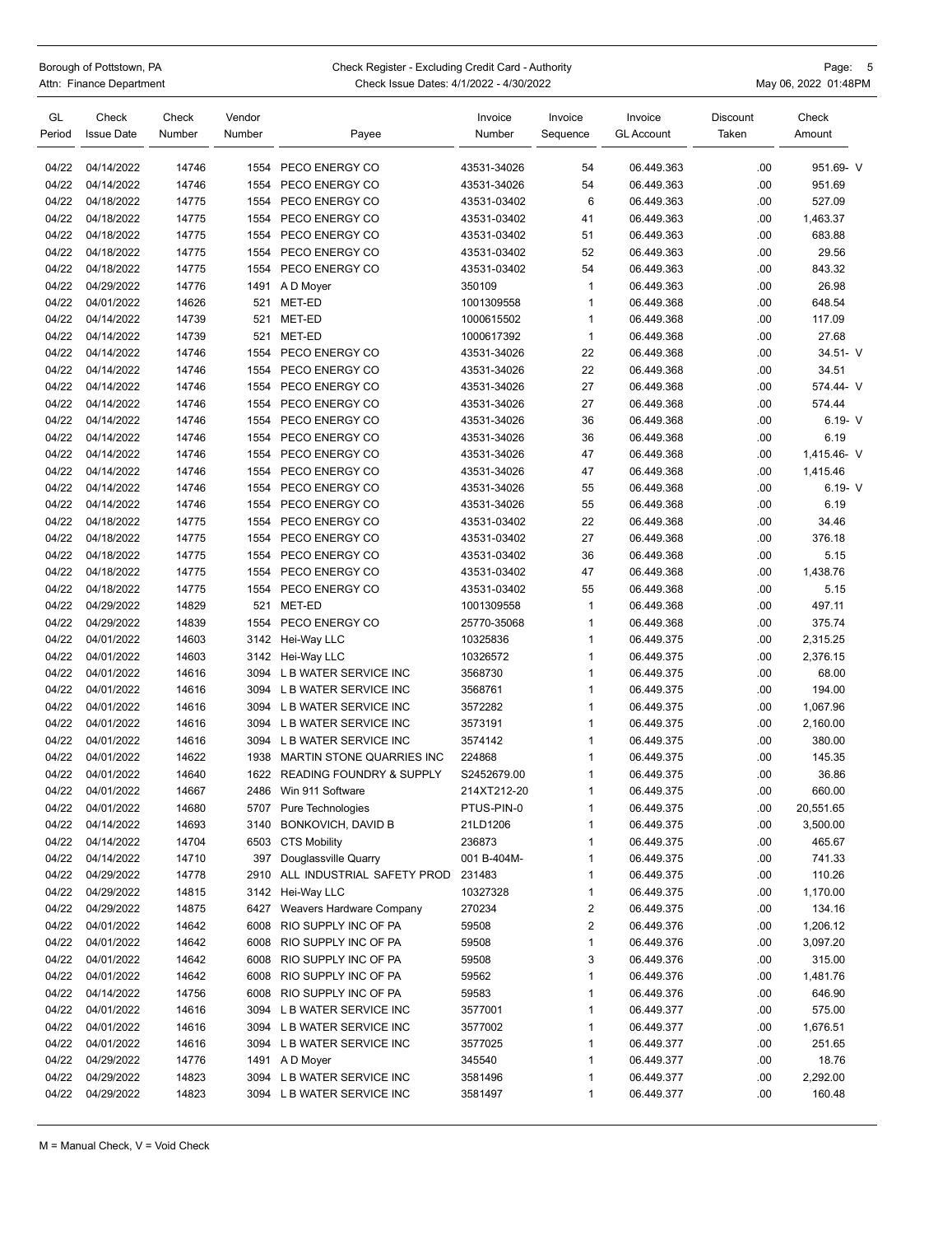| Borough of Pottstown, PA<br>Attn: Finance Department |                            |                 | Check Register - Excluding Credit Card - Authority<br>Page: 5<br>May 06, 2022 01:48PM<br>Check Issue Dates: 4/1/2022 - 4/30/2022 |                                |                   |                     |                              |                          |                 |
|------------------------------------------------------|----------------------------|-----------------|----------------------------------------------------------------------------------------------------------------------------------|--------------------------------|-------------------|---------------------|------------------------------|--------------------------|-----------------|
| GL<br>Period                                         | Check<br><b>Issue Date</b> | Check<br>Number | Vendor<br>Number                                                                                                                 | Payee                          | Invoice<br>Number | Invoice<br>Sequence | Invoice<br><b>GL Account</b> | <b>Discount</b><br>Taken | Check<br>Amount |
| 04/22                                                | 04/14/2022                 | 14746           | 1554                                                                                                                             | PECO ENERGY CO                 | 43531-34026       | 54                  | 06.449.363                   | .00                      | 951.69- V       |
| 04/22                                                | 04/14/2022                 | 14746           | 1554                                                                                                                             | PECO ENERGY CO                 | 43531-34026       | 54                  | 06.449.363                   | .00                      | 951.69          |
| 04/22                                                | 04/18/2022                 | 14775           | 1554                                                                                                                             | PECO ENERGY CO                 | 43531-03402       | 6                   | 06.449.363                   | .00                      | 527.09          |
| 04/22                                                | 04/18/2022                 | 14775           | 1554                                                                                                                             | PECO ENERGY CO                 | 43531-03402       | 41                  | 06.449.363                   | .00                      | 1,463.37        |
| 04/22                                                | 04/18/2022                 | 14775           | 1554                                                                                                                             | PECO ENERGY CO                 | 43531-03402       | 51                  | 06.449.363                   | .00                      | 683.88          |
| 04/22                                                | 04/18/2022                 | 14775           | 1554                                                                                                                             | PECO ENERGY CO                 | 43531-03402       | 52                  | 06.449.363                   | .00                      | 29.56           |
| 04/22                                                | 04/18/2022                 | 14775           | 1554                                                                                                                             | PECO ENERGY CO                 | 43531-03402       | 54                  | 06.449.363                   | .00                      | 843.32          |
| 04/22                                                | 04/29/2022                 | 14776           | 1491                                                                                                                             | A D Moyer                      | 350109            | 1                   | 06.449.363                   | .00                      | 26.98           |
| 04/22                                                | 04/01/2022                 | 14626           | 521                                                                                                                              | MET-ED                         | 1001309558        | 1                   | 06.449.368                   | .00                      | 648.54          |
| 04/22                                                | 04/14/2022                 | 14739           | 521                                                                                                                              | MET-ED                         | 1000615502        | 1                   | 06.449.368                   | .00                      | 117.09          |
| 04/22                                                | 04/14/2022                 | 14739           | 521                                                                                                                              | MET-ED                         | 1000617392        | 1                   | 06.449.368                   | .00                      | 27.68           |
| 04/22                                                | 04/14/2022                 | 14746           | 1554                                                                                                                             | PECO ENERGY CO                 | 43531-34026       | 22                  | 06.449.368                   | .00                      | $34.51 - V$     |
| 04/22                                                | 04/14/2022                 | 14746           | 1554                                                                                                                             | PECO ENERGY CO                 | 43531-34026       | 22                  | 06.449.368                   | .00                      | 34.51           |
| 04/22                                                | 04/14/2022                 | 14746           | 1554                                                                                                                             | PECO ENERGY CO                 | 43531-34026       | 27                  | 06.449.368                   | .00                      | 574.44- V       |
| 04/22                                                | 04/14/2022                 | 14746           | 1554                                                                                                                             | PECO ENERGY CO                 | 43531-34026       | 27                  | 06.449.368                   | .00                      | 574.44          |
| 04/22                                                | 04/14/2022                 | 14746           | 1554                                                                                                                             | PECO ENERGY CO                 | 43531-34026       | 36                  | 06.449.368                   | .00                      | $6.19 - V$      |
| 04/22                                                | 04/14/2022                 | 14746           | 1554                                                                                                                             | PECO ENERGY CO                 | 43531-34026       | 36                  | 06.449.368                   | .00                      | 6.19            |
| 04/22                                                | 04/14/2022                 | 14746           | 1554                                                                                                                             | PECO ENERGY CO                 | 43531-34026       | 47                  | 06.449.368                   | .00                      | 1,415.46- V     |
| 04/22                                                | 04/14/2022                 | 14746           | 1554                                                                                                                             | PECO ENERGY CO                 | 43531-34026       | 47                  | 06.449.368                   | .00                      | 1,415.46        |
| 04/22                                                | 04/14/2022                 | 14746           | 1554                                                                                                                             | PECO ENERGY CO                 | 43531-34026       | 55                  | 06.449.368                   | .00                      | $6.19 - V$      |
| 04/22                                                | 04/14/2022                 | 14746           | 1554                                                                                                                             | PECO ENERGY CO                 | 43531-34026       | 55                  | 06.449.368                   | .00                      | 6.19            |
| 04/22                                                | 04/18/2022                 | 14775           | 1554                                                                                                                             | PECO ENERGY CO                 | 43531-03402       | 22                  | 06.449.368                   | .00                      | 34.46           |
| 04/22                                                | 04/18/2022                 | 14775           | 1554                                                                                                                             | PECO ENERGY CO                 | 43531-03402       | 27                  | 06.449.368                   | .00                      | 376.18          |
| 04/22                                                | 04/18/2022                 | 14775           | 1554                                                                                                                             | PECO ENERGY CO                 | 43531-03402       | 36                  | 06.449.368                   | .00                      | 5.15            |
| 04/22                                                | 04/18/2022                 | 14775           | 1554                                                                                                                             | PECO ENERGY CO                 | 43531-03402       | 47                  | 06.449.368                   | .00                      | 1,438.76        |
| 04/22                                                | 04/18/2022                 | 14775           | 1554                                                                                                                             | PECO ENERGY CO                 | 43531-03402       | 55                  | 06.449.368                   | .00                      | 5.15            |
| 04/22                                                | 04/29/2022                 | 14829           | 521                                                                                                                              | MET-ED                         | 1001309558        | 1                   | 06.449.368                   | .00                      | 497.11          |
| 04/22                                                | 04/29/2022                 | 14839           | 1554                                                                                                                             | PECO ENERGY CO                 | 25770-35068       | 1                   | 06.449.368                   | .00                      | 375.74          |
| 04/22                                                | 04/01/2022                 | 14603           | 3142                                                                                                                             | Hei-Way LLC                    | 10325836          | 1                   | 06.449.375                   | .00                      | 2,315.25        |
| 04/22                                                | 04/01/2022                 | 14603           |                                                                                                                                  | 3142 Hei-Way LLC               | 10326572          | 1                   | 06.449.375                   | .00                      | 2,376.15        |
| 04/22                                                | 04/01/2022                 | 14616           | 3094                                                                                                                             | L B WATER SERVICE INC          | 3568730           | 1                   | 06.449.375                   | .00                      | 68.00           |
| 04/22                                                | 04/01/2022                 | 14616           |                                                                                                                                  | 3094 L B WATER SERVICE INC     | 3568761           | $\mathbf{1}$        | 06.449.375                   | .00                      | 194.00          |
| 04/22                                                | 04/01/2022                 | 14616           | 3094                                                                                                                             | L B WATER SERVICE INC          | 3572282           | 1                   | 06.449.375                   | .00                      | 1,067.96        |
| 04/22                                                | 04/01/2022                 | 14616           |                                                                                                                                  | 3094 L B WATER SERVICE INC     | 3573191           | 1                   | 06.449.375                   | .00                      | 2,160.00        |
| 04/22                                                | 04/01/2022                 | 14616           |                                                                                                                                  | 3094 L B WATER SERVICE INC     | 3574142           | 1                   | 06.449.375                   | .00                      | 380.00          |
| 04/22                                                | 04/01/2022                 | 14622           |                                                                                                                                  | 1938 MARTIN STONE QUARRIES INC | 224868            |                     | 06.449.375                   | $.00\,$                  | 145.35          |
| 04/22                                                | 04/01/2022                 | 14640           |                                                                                                                                  | 1622 READING FOUNDRY & SUPPLY  | S2452679.00       | 1                   | 06.449.375                   | .00                      | 36.86           |
| 04/22                                                | 04/01/2022                 | 14667           | 2486                                                                                                                             | Win 911 Software               | 214XT212-20       | 1                   | 06.449.375                   | .00                      | 660.00          |
| 04/22                                                | 04/01/2022                 | 14680           |                                                                                                                                  | 5707 Pure Technologies         | PTUS-PIN-0        | 1                   | 06.449.375                   | .00                      | 20,551.65       |
| 04/22                                                | 04/14/2022                 | 14693           | 3140                                                                                                                             | BONKOVICH, DAVID B             | 21LD1206          | 1                   | 06.449.375                   | .00                      | 3,500.00        |
| 04/22                                                | 04/14/2022                 | 14704           |                                                                                                                                  | 6503 CTS Mobility              | 236873            | 1                   | 06.449.375                   | .00                      | 465.67          |
| 04/22                                                | 04/14/2022                 | 14710           | 397                                                                                                                              | Douglassville Quarry           | 001 B-404M-       | 1                   | 06.449.375                   | .00                      | 741.33          |
| 04/22                                                | 04/29/2022                 | 14778           | 2910                                                                                                                             | ALL INDUSTRIAL SAFETY PROD     | 231483            | 1                   | 06.449.375                   | .00                      | 110.26          |
| 04/22                                                | 04/29/2022                 | 14815           |                                                                                                                                  | 3142 Hei-Way LLC               | 10327328          | 1                   | 06.449.375                   | .00                      | 1,170.00        |
| 04/22                                                | 04/29/2022                 | 14875           |                                                                                                                                  | 6427 Weavers Hardware Company  | 270234            | 2                   | 06.449.375                   | .00                      | 134.16          |
| 04/22                                                | 04/01/2022                 | 14642           | 6008                                                                                                                             | RIO SUPPLY INC OF PA           | 59508             | 2                   | 06.449.376                   | .00                      | 1,206.12        |
| 04/22                                                | 04/01/2022                 | 14642           | 6008                                                                                                                             | RIO SUPPLY INC OF PA           | 59508             | 1                   | 06.449.376                   | .00                      | 3,097.20        |
| 04/22                                                | 04/01/2022                 | 14642           | 6008                                                                                                                             | RIO SUPPLY INC OF PA           | 59508             | 3                   | 06.449.376                   | .00                      | 315.00          |
| 04/22                                                | 04/01/2022                 | 14642           | 6008                                                                                                                             | RIO SUPPLY INC OF PA           | 59562             | 1                   | 06.449.376                   | .00                      | 1,481.76        |
| 04/22                                                | 04/14/2022                 | 14756           | 6008                                                                                                                             | RIO SUPPLY INC OF PA           | 59583             | 1                   | 06.449.376                   | .00                      | 646.90          |
| 04/22                                                | 04/01/2022                 | 14616           |                                                                                                                                  | 3094 L B WATER SERVICE INC     | 3577001           | 1                   | 06.449.377                   | .00                      | 575.00          |
| 04/22                                                | 04/01/2022                 | 14616           |                                                                                                                                  | 3094 L B WATER SERVICE INC     | 3577002           | 1                   | 06.449.377                   | .00                      | 1,676.51        |
| 04/22                                                | 04/01/2022                 | 14616           |                                                                                                                                  | 3094 L B WATER SERVICE INC     | 3577025           | 1                   | 06.449.377                   | .00                      | 251.65          |
| 04/22                                                | 04/29/2022                 | 14776           |                                                                                                                                  | 1491 A D Moyer                 | 345540            | 1                   | 06.449.377                   | .00                      | 18.76           |
| 04/22                                                | 04/29/2022                 | 14823           |                                                                                                                                  | 3094 L B WATER SERVICE INC     | 3581496           | 1                   | 06.449.377                   | .00                      | 2,292.00        |

04/22 04/29/2022 14823 3094 L B WATER SERVICE INC 3581497 1 06.449.377 .00 160.48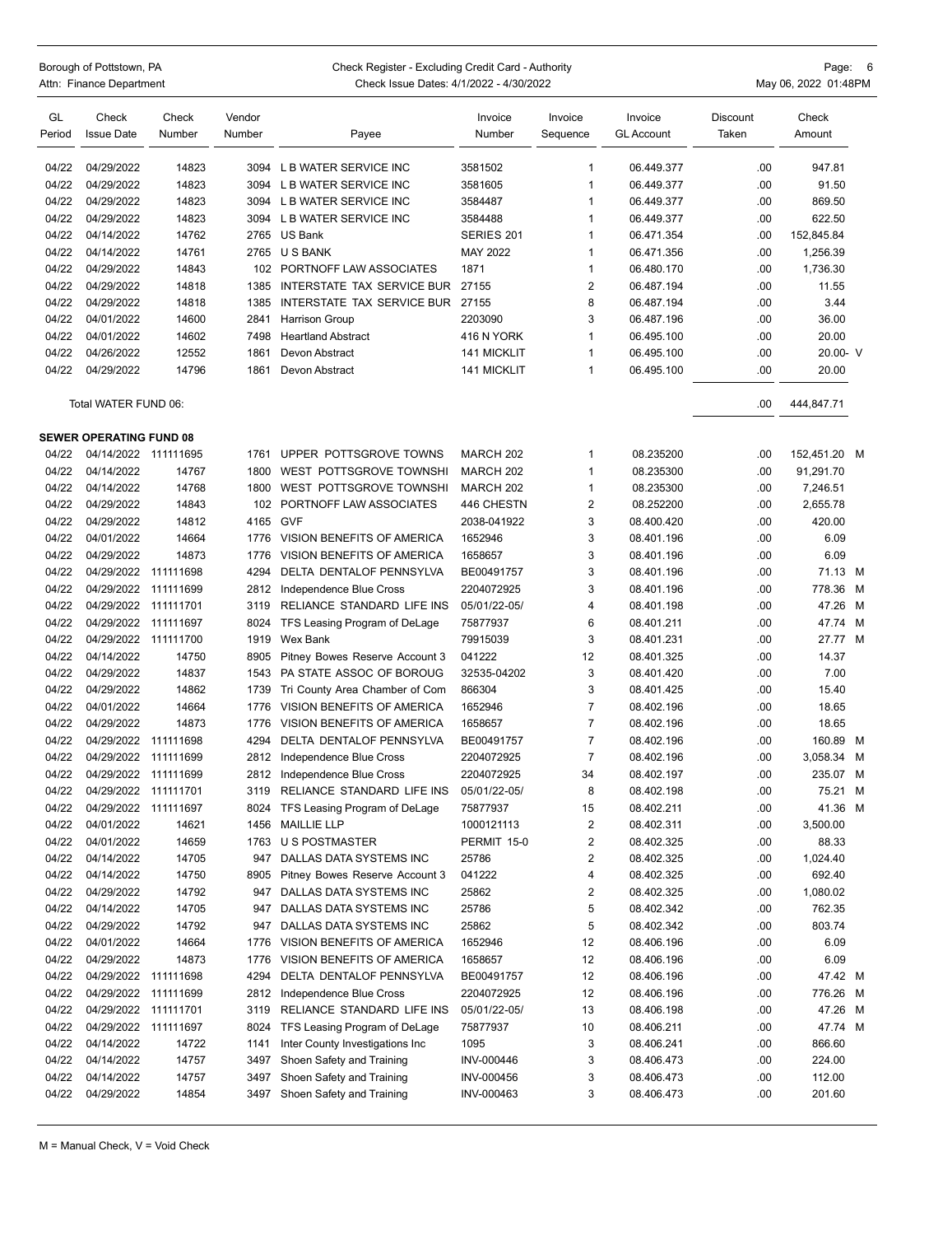## Borough of Pottstown, PA Page: 6<br>Attn: Finance Department Page: 1992 Check Issue Dates: 4/1/2022 - 4/30/2022 Check Issue Dates: 4/1/2022 - 4/30/2022 **Actual Check Issue Dates: 4/1/2022** - 4/30/2022

| GL<br>Period | Check<br><b>Issue Date</b>     | Check<br>Number | Vendor<br>Number | Payee                              | Invoice<br>Number  | Invoice<br>Sequence | Invoice<br>GL Account | Discount<br>Taken | Check<br>Amount |   |
|--------------|--------------------------------|-----------------|------------------|------------------------------------|--------------------|---------------------|-----------------------|-------------------|-----------------|---|
| 04/22        | 04/29/2022                     | 14823           |                  | 3094 L B WATER SERVICE INC         | 3581502            | 1                   | 06.449.377            | .00.              | 947.81          |   |
| 04/22        | 04/29/2022                     | 14823           | 3094             | L B WATER SERVICE INC              | 3581605            | 1                   | 06.449.377            | .00.              | 91.50           |   |
| 04/22        | 04/29/2022                     | 14823           |                  | 3094 L B WATER SERVICE INC         | 3584487            | 1                   | 06.449.377            | .00               | 869.50          |   |
| 04/22        | 04/29/2022                     | 14823           |                  | 3094 L B WATER SERVICE INC         | 3584488            | 1                   | 06.449.377            | .00.              | 622.50          |   |
| 04/22        | 04/14/2022                     | 14762           | 2765             | US Bank                            | SERIES 201         | 1                   | 06.471.354            | .00               | 152,845.84      |   |
| 04/22        | 04/14/2022                     | 14761           | 2765             | U S BANK                           | MAY 2022           | 1                   | 06.471.356            | .00.              | 1,256.39        |   |
| 04/22        | 04/29/2022                     | 14843           | 102              | PORTNOFF LAW ASSOCIATES            | 1871               | 1                   | 06.480.170            | .00.              | 1,736.30        |   |
| 04/22        | 04/29/2022                     | 14818           | 1385             | INTERSTATE TAX SERVICE BUR         | 27155              | $\overline{2}$      | 06.487.194            | .00               | 11.55           |   |
| 04/22        | 04/29/2022                     | 14818           | 1385             | INTERSTATE TAX SERVICE BUR         | 27155              | 8                   | 06.487.194            | .00.              | 3.44            |   |
| 04/22        | 04/01/2022                     | 14600           | 2841             | <b>Harrison Group</b>              | 2203090            | 3                   | 06.487.196            | .00.              | 36.00           |   |
| 04/22        | 04/01/2022                     | 14602           | 7498             | <b>Heartland Abstract</b>          | 416 N YORK         | 1                   | 06.495.100            | .00.              | 20.00           |   |
| 04/22        | 04/26/2022                     | 12552           | 1861             | Devon Abstract                     | <b>141 MICKLIT</b> | 1                   | 06.495.100            | .00               | 20.00- V        |   |
| 04/22        | 04/29/2022                     | 14796           | 1861             | Devon Abstract                     | <b>141 MICKLIT</b> | 1                   | 06.495.100            | .00               | 20.00           |   |
|              | Total WATER FUND 06:           |                 |                  |                                    |                    |                     |                       | .00.              | 444,847.71      |   |
|              | <b>SEWER OPERATING FUND 08</b> |                 |                  |                                    |                    |                     |                       |                   |                 |   |
| 04/22        | 04/14/2022 111111695           |                 | 1761             | UPPER POTTSGROVE TOWNS             | MARCH 202          | 1                   | 08.235200             | .00               | 152,451.20 M    |   |
| 04/22        | 04/14/2022                     | 14767           | 1800             | WEST POTTSGROVE TOWNSHI            | MARCH 202          | 1                   | 08.235300             | .00.              | 91,291.70       |   |
| 04/22        | 04/14/2022                     | 14768           | 1800             | WEST POTTSGROVE TOWNSHI            | MARCH 202          | 1                   | 08.235300             | .00.              | 7,246.51        |   |
| 04/22        | 04/29/2022                     | 14843           | 102              | PORTNOFF LAW ASSOCIATES            | 446 CHESTN         | 2                   | 08.252200             | .00.              | 2,655.78        |   |
| 04/22        | 04/29/2022                     | 14812           | 4165 GVF         |                                    | 2038-041922        | 3                   | 08.400.420            | .00.              | 420.00          |   |
| 04/22        | 04/01/2022                     | 14664           | 1776             | VISION BENEFITS OF AMERICA         | 1652946            | 3                   | 08.401.196            | .00.              | 6.09            |   |
| 04/22        | 04/29/2022                     | 14873           | 1776             | VISION BENEFITS OF AMERICA         | 1658657            | 3                   | 08.401.196            | .00.              | 6.09            |   |
| 04/22        | 04/29/2022                     | 111111698       | 4294             | DELTA DENTALOF PENNSYLVA           | BE00491757         | 3                   | 08.401.196            | .00.              | 71.13 M         |   |
| 04/22        | 04/29/2022                     | 111111699       | 2812             | Independence Blue Cross            | 2204072925         | 3                   | 08.401.196            | .00               | 778.36 M        |   |
| 04/22        | 04/29/2022                     | 111111701       | 3119             | RELIANCE STANDARD LIFE INS         | 05/01/22-05/       | 4                   | 08.401.198            | .00               | 47.26 M         |   |
| 04/22        | 04/29/2022                     | 111111697       | 8024             | TFS Leasing Program of DeLage      | 75877937           | 6                   | 08.401.211            | .00               | 47.74 M         |   |
| 04/22        | 04/29/2022                     | 111111700       | 1919             | Wex Bank                           | 79915039           | 3                   | 08.401.231            | .00.              | 27.77 M         |   |
| 04/22        | 04/14/2022                     | 14750           | 8905             | Pitney Bowes Reserve Account 3     | 041222             | 12                  | 08.401.325            | .00.              | 14.37           |   |
| 04/22        | 04/29/2022                     | 14837           | 1543             | PA STATE ASSOC OF BOROUG           | 32535-04202        | 3                   | 08.401.420            | .00               | 7.00            |   |
| 04/22        | 04/29/2022                     | 14862           | 1739             | Tri County Area Chamber of Com     | 866304             | 3                   | 08.401.425            | .00               | 15.40           |   |
| 04/22        | 04/01/2022                     | 14664           | 1776             | VISION BENEFITS OF AMERICA         | 1652946            | 7                   | 08.402.196            | .00               | 18.65           |   |
| 04/22        | 04/29/2022                     | 14873           | 1776             | VISION BENEFITS OF AMERICA         | 1658657            | 7                   | 08.402.196            | .00               | 18.65           |   |
| 04/22        | 04/29/2022                     | 111111698       | 4294             | DELTA DENTALOF PENNSYLVA           | BE00491757         | $\overline{7}$      | 08.402.196            | .00.              | 160.89 M        |   |
| 04/22        | 04/29/2022                     | 111111699       | 2812             | Independence Blue Cross            | 2204072925         | $\overline{7}$      | 08.402.196            | .00               | 3,058.34        | M |
| 04/22        | 04/29/2022                     | 111111699       | 2812             | Independence Blue Cross            | 2204072925         | 34                  | 08.402.197            | .00               | 235.07 M        |   |
| 04/22        | 04/29/2022                     | 111111701       | 3119             | RELIANCE STANDARD LIFE INS         | 05/01/22-05/       | 8                   | 08.402.198            | .00               | 75.21 M         |   |
| 04/22        | 04/29/2022 111111697           |                 |                  | 8024 TFS Leasing Program of DeLage | 75877937           | 15                  | 08.402.211            | .00               | 41.36 M         |   |
| 04/22        | 04/01/2022                     | 14621           | 1456             | <b>MAILLIE LLP</b>                 | 1000121113         | 2                   | 08.402.311            | .00               | 3,500.00        |   |
| 04/22        | 04/01/2022                     | 14659           | 1763             | <b>U S POSTMASTER</b>              | PERMIT 15-0        | 2                   | 08.402.325            | .00               | 88.33           |   |
| 04/22        | 04/14/2022                     | 14705           | 947              | DALLAS DATA SYSTEMS INC            | 25786              | 2                   | 08.402.325            | .00               | 1,024.40        |   |
| 04/22        | 04/14/2022                     | 14750           | 8905             | Pitney Bowes Reserve Account 3     | 041222             | 4                   | 08.402.325            | .00               | 692.40          |   |
| 04/22        | 04/29/2022                     | 14792           | 947              | DALLAS DATA SYSTEMS INC            | 25862              | 2                   | 08.402.325            | .00               | 1,080.02        |   |
| 04/22        | 04/14/2022                     | 14705           | 947              | DALLAS DATA SYSTEMS INC            | 25786              | 5                   | 08.402.342            | .00               | 762.35          |   |
| 04/22        | 04/29/2022                     | 14792           | 947              | DALLAS DATA SYSTEMS INC            | 25862              | 5                   | 08.402.342            | .00               | 803.74          |   |
| 04/22        | 04/01/2022                     | 14664           | 1776             | VISION BENEFITS OF AMERICA         | 1652946            | 12                  | 08.406.196            | .00               | 6.09            |   |
| 04/22        | 04/29/2022                     | 14873           | 1776             | VISION BENEFITS OF AMERICA         | 1658657            | 12                  | 08.406.196            | .00               | 6.09            |   |
| 04/22        | 04/29/2022 111111698           |                 | 4294             | DELTA DENTALOF PENNSYLVA           | BE00491757         | 12                  | 08.406.196            | .00               | 47.42 M         |   |
| 04/22        | 04/29/2022                     | 111111699       | 2812             | Independence Blue Cross            | 2204072925         | 12                  | 08.406.196            | .00               | 776.26 M        |   |
| 04/22        | 04/29/2022                     | 111111701       | 3119             | RELIANCE STANDARD LIFE INS         | 05/01/22-05/       | 13                  | 08.406.198            | .00               | 47.26 M         |   |
| 04/22        | 04/29/2022 111111697           |                 | 8024             | TFS Leasing Program of DeLage      | 75877937           | 10                  | 08.406.211            | .00               | 47.74 M         |   |
| 04/22        | 04/14/2022                     | 14722           | 1141             | Inter County Investigations Inc    | 1095               | 3                   | 08.406.241            | .00               | 866.60          |   |
| 04/22        | 04/14/2022                     | 14757           | 3497             | Shoen Safety and Training          | INV-000446         | 3                   | 08.406.473            | .00               | 224.00          |   |
| 04/22        | 04/14/2022                     | 14757           | 3497             | Shoen Safety and Training          | INV-000456         | 3                   | 08.406.473            | .00               | 112.00          |   |
| 04/22        | 04/29/2022                     | 14854           | 3497             | Shoen Safety and Training          | INV-000463         | 3                   | 08.406.473            | .00               | 201.60          |   |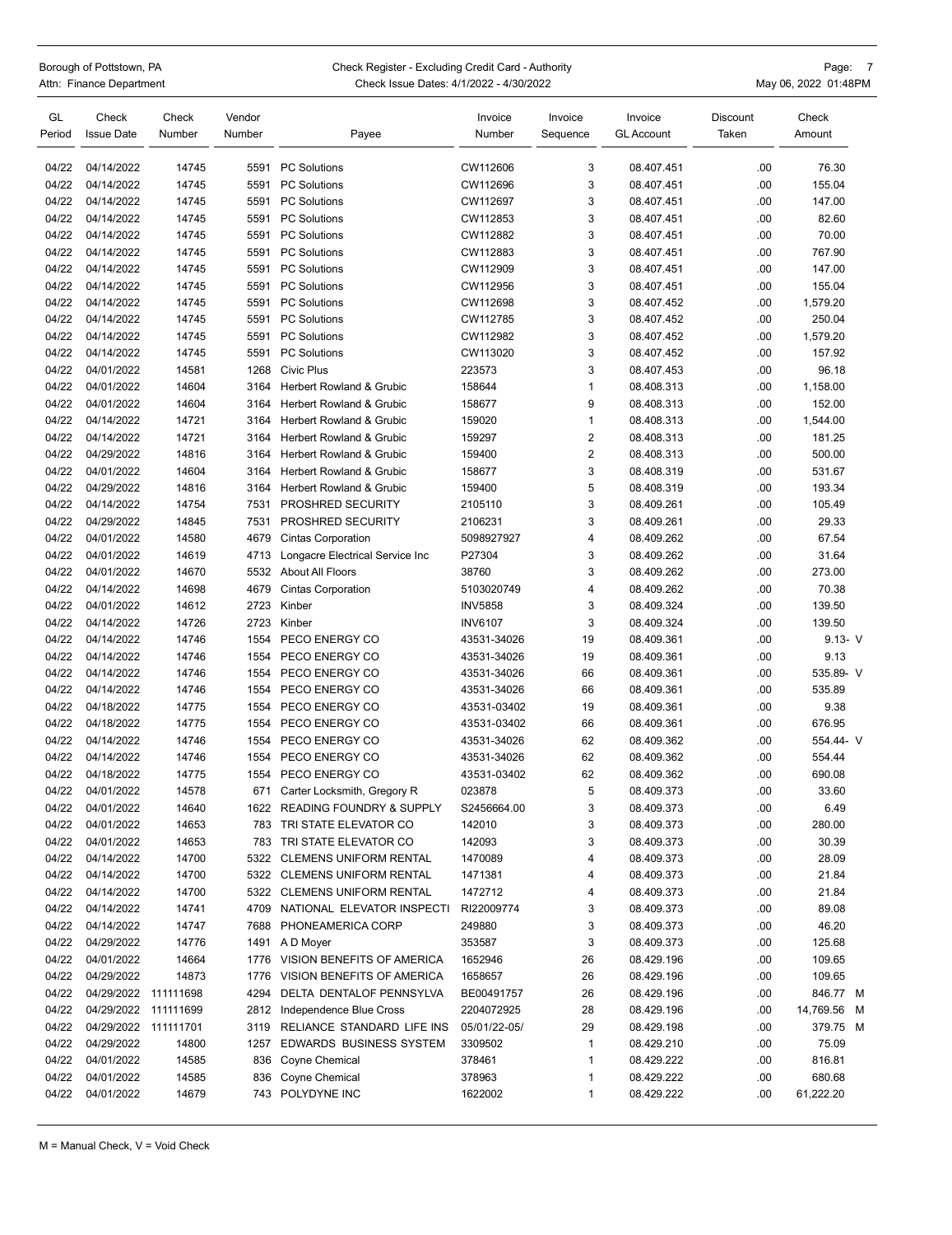|              | Borough of Pottstown, PA<br>Attn: Finance Department |                 | Check Register - Excluding C<br>Check Issue Dates: 4/1/2 |                        |  |        |  |
|--------------|------------------------------------------------------|-----------------|----------------------------------------------------------|------------------------|--|--------|--|
| GL<br>Period | Check<br><b>Issue Date</b>                           | Check<br>Number | Vendor<br>Number                                         | Payee                  |  |        |  |
| 04/22        | 04/14/2022                                           | 14745           | 5591                                                     | <b>PC Solutions</b>    |  | C١     |  |
| 04/22        | 04/14/2022                                           | 14745           | 5591                                                     | <b>PC Solutions</b>    |  | C١     |  |
| 0100         | 0.41410000                                           | 447AE           |                                                          | $EEMA = DQRL, H_{max}$ |  | $\sim$ |  |

| GL<br>Period   | Check<br><b>Issue Date</b> | Check<br>Number | Vendor<br>Number | Payee                           | Invoice<br>Number | Invoice<br>Sequence | Invoice<br><b>GL Account</b> | <b>Discount</b><br>Taken | Check<br>Amount |
|----------------|----------------------------|-----------------|------------------|---------------------------------|-------------------|---------------------|------------------------------|--------------------------|-----------------|
| 04/22          | 04/14/2022                 | 14745           | 5591             | <b>PC Solutions</b>             | CW112606          | 3                   | 08.407.451                   | .00                      | 76.30           |
| 04/22          | 04/14/2022                 | 14745           | 5591             | <b>PC Solutions</b>             | CW112696          | 3                   | 08.407.451                   | .00                      | 155.04          |
| 04/22          | 04/14/2022                 | 14745           | 5591             | <b>PC Solutions</b>             | CW112697          | 3                   | 08.407.451                   | .00                      | 147.00          |
| 04/22          | 04/14/2022                 | 14745           | 5591             | <b>PC Solutions</b>             | CW112853          | 3                   | 08.407.451                   | .00                      | 82.60           |
| 04/22          | 04/14/2022                 | 14745           | 5591             | <b>PC Solutions</b>             | CW112882          | 3                   | 08.407.451                   | .00                      | 70.00           |
| 04/22          | 04/14/2022                 | 14745           | 5591             | <b>PC Solutions</b>             | CW112883          | 3                   | 08.407.451                   | .00                      | 767.90          |
| 04/22          | 04/14/2022                 | 14745           | 5591             | <b>PC Solutions</b>             | CW112909          | 3                   | 08.407.451                   | .00                      | 147.00          |
| 04/22          | 04/14/2022                 | 14745           | 5591             | <b>PC Solutions</b>             | CW112956          | 3                   | 08.407.451                   | .00                      | 155.04          |
| 04/22          | 04/14/2022                 | 14745           | 5591             | <b>PC Solutions</b>             | CW112698          | 3                   | 08.407.452                   | .00                      | 1,579.20        |
| 04/22          | 04/14/2022                 | 14745           | 5591             | <b>PC Solutions</b>             | CW112785          | 3                   | 08.407.452                   | .00                      | 250.04          |
| 04/22          | 04/14/2022                 | 14745           | 5591             | <b>PC Solutions</b>             | CW112982          | 3                   | 08.407.452                   | .00                      | 1,579.20        |
| 04/22          | 04/14/2022                 | 14745           | 5591             | <b>PC Solutions</b>             | CW113020          | 3                   | 08.407.452                   | .00                      | 157.92          |
| 04/22          | 04/01/2022                 | 14581           | 1268             | <b>Civic Plus</b>               | 223573            | 3                   | 08.407.453                   | .00                      | 96.18           |
| 04/22          | 04/01/2022                 | 14604           | 3164             | Herbert Rowland & Grubic        | 158644            | 1                   | 08.408.313                   | .00                      | 1,158.00        |
| 04/22          | 04/01/2022                 | 14604           | 3164             | Herbert Rowland & Grubic        | 158677            | 9                   | 08.408.313                   | .00                      | 152.00          |
| 04/22          | 04/14/2022                 | 14721           | 3164             | Herbert Rowland & Grubic        | 159020            | 1                   | 08.408.313                   | .00                      | 1,544.00        |
| 04/22          | 04/14/2022                 | 14721           | 3164             | Herbert Rowland & Grubic        | 159297            | 2                   | 08.408.313                   | .00                      | 181.25          |
| 04/22          | 04/29/2022                 | 14816           | 3164             | Herbert Rowland & Grubic        | 159400            | 2                   | 08.408.313                   | .00                      | 500.00          |
| 04/22          | 04/01/2022                 | 14604           | 3164             | Herbert Rowland & Grubic        | 158677            | 3                   | 08.408.319                   | .00                      | 531.67          |
| 04/22          | 04/29/2022                 | 14816           | 3164             | Herbert Rowland & Grubic        | 159400            | 5                   | 08.408.319                   | .00                      | 193.34          |
| 04/22          | 04/14/2022                 | 14754           | 7531             | PROSHRED SECURITY               | 2105110           | 3                   | 08.409.261                   | .00                      | 105.49          |
| 04/22          | 04/29/2022                 | 14845           | 7531             | PROSHRED SECURITY               | 2106231           | 3                   | 08.409.261                   | .00                      | 29.33           |
| 04/22          | 04/01/2022                 | 14580           | 4679             | <b>Cintas Corporation</b>       | 5098927927        | 4                   | 08.409.262                   | .00                      | 67.54           |
| 04/22          | 04/01/2022                 | 14619           | 4713             | Longacre Electrical Service Inc | P27304            | 3                   | 08.409.262                   | .00                      | 31.64           |
| 04/22          | 04/01/2022                 | 14670           | 5532             | About All Floors                | 38760             | 3                   | 08.409.262                   | .00                      | 273.00          |
| 04/22          | 04/14/2022                 | 14698           | 4679             | <b>Cintas Corporation</b>       | 5103020749        | 4                   | 08.409.262                   | .00                      | 70.38           |
| 04/22          | 04/01/2022                 | 14612           | 2723             | Kinber                          | <b>INV5858</b>    | 3                   | 08.409.324                   | .00                      | 139.50          |
| 04/22          | 04/14/2022                 | 14726           | 2723             | Kinber                          | <b>INV6107</b>    | 3                   | 08.409.324                   | .00                      | 139.50          |
| 04/22          | 04/14/2022                 | 14746           | 1554             | PECO ENERGY CO                  | 43531-34026       | 19                  | 08.409.361                   | .00                      | $9.13 - V$      |
| 04/22          | 04/14/2022                 | 14746           | 1554             | PECO ENERGY CO                  | 43531-34026       | 19                  | 08.409.361                   | .00                      | 9.13            |
| 04/22          | 04/14/2022                 | 14746           | 1554             | PECO ENERGY CO                  | 43531-34026       | 66                  | 08.409.361                   | .00                      | 535.89- V       |
| 04/22          | 04/14/2022                 | 14746           | 1554             | PECO ENERGY CO                  | 43531-34026       | 66                  | 08.409.361                   | .00                      | 535.89          |
| 04/22          | 04/18/2022                 | 14775           | 1554             | PECO ENERGY CO                  | 43531-03402       | 19                  | 08.409.361                   | .00                      | 9.38            |
| 04/22          | 04/18/2022                 | 14775           | 1554             | PECO ENERGY CO                  | 43531-03402       | 66                  | 08.409.361                   | .00                      | 676.95          |
| 04/22          | 04/14/2022                 | 14746           | 1554             | PECO ENERGY CO                  | 43531-34026       | 62                  | 08.409.362                   | .00                      | 554.44- V       |
| 04/22          | 04/14/2022                 | 14746           | 1554             | PECO ENERGY CO                  | 43531-34026       | 62                  | 08.409.362                   | .00                      | 554.44          |
| 04/22          | 04/18/2022                 | 14775           | 1554             | PECO ENERGY CO                  | 43531-03402       | 62                  | 08.409.362                   | .00                      | 690.08          |
| 04/22          | 04/01/2022                 | 14578           | 671              | Carter Locksmith, Gregory R     | 023878            | 5                   | 08.409.373                   | .00                      | 33.60           |
| 04/22          | 04/01/2022                 | 14640           |                  | 1622 READING FOUNDRY & SUPPLY   | S2456664.00       | 3                   | 08.409.373                   | .00                      | 6.49            |
| 04/22          | 04/01/2022                 | 14653           |                  | 783 TRI STATE ELEVATOR CO       | 142010            | 3                   | 08.409.373                   | .00                      | 280.00          |
| 04/22          | 04/01/2022                 | 14653           |                  | 783 TRI STATE ELEVATOR CO       | 142093            | 3                   | 08.409.373                   | .00                      | 30.39           |
|                | 04/14/2022                 | 14700           | 5322             | <b>CLEMENS UNIFORM RENTAL</b>   | 1470089           | 4                   |                              |                          | 28.09           |
| 04/22<br>04/22 | 04/14/2022                 | 14700           |                  | 5322 CLEMENS UNIFORM RENTAL     | 1471381           | 4                   | 08.409.373<br>08.409.373     | .00<br>.00               | 21.84           |
|                |                            |                 |                  |                                 |                   | 4                   |                              |                          |                 |
| 04/22          | 04/14/2022<br>04/14/2022   | 14700           |                  | 5322 CLEMENS UNIFORM RENTAL     | 1472712           |                     | 08.409.373                   | .00                      | 21.84           |
| 04/22          |                            | 14741           | 4709             | NATIONAL ELEVATOR INSPECTI      | RI22009774        | 3                   | 08.409.373                   | .00                      | 89.08           |
| 04/22          | 04/14/2022                 | 14747           |                  | 7688 PHONEAMERICA CORP          | 249880            | 3                   | 08.409.373                   | .00                      | 46.20           |
| 04/22          | 04/29/2022                 | 14776           |                  | 1491 AD Moyer                   | 353587            | 3                   | 08.409.373                   | .00                      | 125.68          |
| 04/22          | 04/01/2022                 | 14664           |                  | 1776 VISION BENEFITS OF AMERICA | 1652946           | 26                  | 08.429.196                   | .00                      | 109.65          |
| 04/22          | 04/29/2022                 | 14873           | 1776             | VISION BENEFITS OF AMERICA      | 1658657           | 26                  | 08.429.196                   | .00                      | 109.65          |
| 04/22          | 04/29/2022                 | 111111698       | 4294             | DELTA DENTALOF PENNSYLVA        | BE00491757        | 26                  | 08.429.196                   | .00                      | 846.77 M        |
| 04/22          | 04/29/2022                 | 111111699       | 2812             | Independence Blue Cross         | 2204072925        | 28                  | 08.429.196                   | .00                      | 14,769.56 M     |
| 04/22          | 04/29/2022 111111701       |                 | 3119             | RELIANCE STANDARD LIFE INS      | 05/01/22-05/      | 29                  | 08.429.198                   | .00                      | 379.75 M        |
| 04/22          | 04/29/2022                 | 14800           | 1257             | EDWARDS BUSINESS SYSTEM         | 3309502           | 1                   | 08.429.210                   | .00                      | 75.09           |
| 04/22          | 04/01/2022                 | 14585           | 836              | Coyne Chemical                  | 378461            | 1                   | 08.429.222                   | .00                      | 816.81          |
| 04/22          | 04/01/2022                 | 14585           | 836              | Coyne Chemical                  | 378963            | 1                   | 08.429.222                   | .00                      | 680.68          |
| 04/22          | 04/01/2022                 | 14679           |                  | 743 POLYDYNE INC                | 1622002           | 1                   | 08.429.222                   | .00                      | 61,222.20       |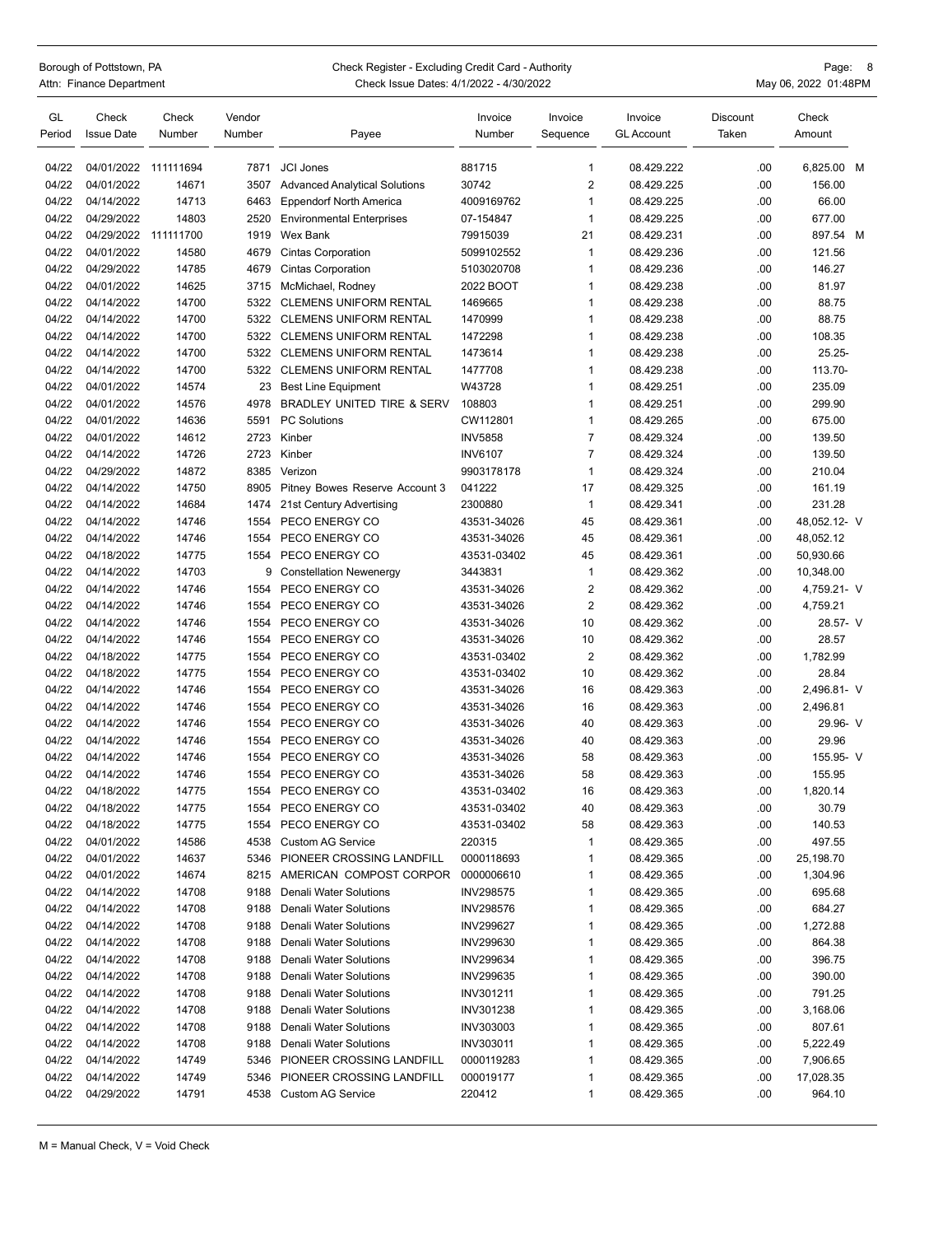## Borough of Pottstown, PA Page: 8<br>Attn: Finance Department Page: 1992 Check Issue Dates: 4/1/2022 - 4/30/2022 Check Issue Dates: 4/1/2022 - 4/30/2022

| GL<br>Period | Check<br><b>Issue Date</b> | Check<br>Number | Vendor<br>Number | Payee                                | Invoice<br>Number      | Invoice<br>Sequence | Invoice<br><b>GL Account</b> | Discount<br>Taken | Check<br>Amount |  |
|--------------|----------------------------|-----------------|------------------|--------------------------------------|------------------------|---------------------|------------------------------|-------------------|-----------------|--|
| 04/22        | 04/01/2022                 | 111111694       | 7871             | <b>JCI Jones</b>                     | 881715                 | $\mathbf{1}$        | 08.429.222                   | .00.              | 6,825.00 M      |  |
| 04/22        | 04/01/2022                 | 14671           | 3507             | <b>Advanced Analytical Solutions</b> | 30742                  | $\overline{2}$      | 08.429.225                   | .00               | 156.00          |  |
| 04/22        | 04/14/2022                 | 14713           | 6463             | <b>Eppendorf North America</b>       | 4009169762             | $\mathbf{1}$        | 08.429.225                   | .00               | 66.00           |  |
| 04/22        | 04/29/2022                 | 14803           | 2520             | <b>Environmental Enterprises</b>     | 07-154847              | $\mathbf{1}$        | 08.429.225                   | .00               | 677.00          |  |
| 04/22        | 04/29/2022                 | 111111700       | 1919             | Wex Bank                             | 79915039               | 21                  | 08.429.231                   | .00               | 897.54 M        |  |
| 04/22        | 04/01/2022                 | 14580           | 4679             | <b>Cintas Corporation</b>            | 5099102552             | $\mathbf{1}$        | 08.429.236                   | .00.              | 121.56          |  |
| 04/22        | 04/29/2022                 | 14785           | 4679             | <b>Cintas Corporation</b>            | 5103020708             | $\mathbf{1}$        | 08.429.236                   | .00               | 146.27          |  |
| 04/22        | 04/01/2022                 | 14625           | 3715             | McMichael, Rodney                    | 2022 BOOT              | $\mathbf{1}$        | 08.429.238                   | .00               | 81.97           |  |
| 04/22        | 04/14/2022                 | 14700           | 5322             | <b>CLEMENS UNIFORM RENTAL</b>        | 1469665                | $\mathbf{1}$        | 08.429.238                   | .00               | 88.75           |  |
| 04/22        | 04/14/2022                 | 14700           | 5322             | <b>CLEMENS UNIFORM RENTAL</b>        | 1470999                | $\mathbf{1}$        | 08.429.238                   | .00               | 88.75           |  |
| 04/22        | 04/14/2022                 | 14700           | 5322             | <b>CLEMENS UNIFORM RENTAL</b>        | 1472298                | $\mathbf{1}$        | 08.429.238                   | .00               | 108.35          |  |
| 04/22        | 04/14/2022                 | 14700           | 5322             | <b>CLEMENS UNIFORM RENTAL</b>        | 1473614                | $\mathbf{1}$        | 08.429.238                   | .00               | 25.25-          |  |
| 04/22        | 04/14/2022                 | 14700           | 5322             | <b>CLEMENS UNIFORM RENTAL</b>        | 1477708                | $\mathbf{1}$        | 08.429.238                   | .00               | 113.70-         |  |
| 04/22        | 04/01/2022                 | 14574           | 23               | <b>Best Line Equipment</b>           | W43728                 | $\mathbf{1}$        | 08.429.251                   | .00               | 235.09          |  |
| 04/22        | 04/01/2022                 | 14576           | 4978             | BRADLEY UNITED TIRE & SERV           | 108803                 | $\mathbf{1}$        | 08.429.251                   | .00               | 299.90          |  |
| 04/22        | 04/01/2022                 | 14636           | 5591             | <b>PC Solutions</b>                  | CW112801               | $\mathbf{1}$        | 08.429.265                   | .00.              | 675.00          |  |
| 04/22        | 04/01/2022                 | 14612           | 2723             | Kinber                               | <b>INV5858</b>         | $\overline{7}$      | 08.429.324                   | .00               | 139.50          |  |
| 04/22        | 04/14/2022                 | 14726           | 2723             | Kinber                               | <b>INV6107</b>         | $\overline{7}$      | 08.429.324                   | .00               | 139.50          |  |
| 04/22        | 04/29/2022                 | 14872           | 8385             | Verizon                              | 9903178178             | $\mathbf{1}$        | 08.429.324                   | .00.              | 210.04          |  |
| 04/22        | 04/14/2022                 | 14750           | 8905             | Pitney Bowes Reserve Account 3       | 041222                 | 17                  | 08.429.325                   | .00.              | 161.19          |  |
| 04/22        | 04/14/2022                 | 14684           | 1474             | 21st Century Advertising             | 2300880                | $\mathbf{1}$        | 08.429.341                   | .00               | 231.28          |  |
| 04/22        | 04/14/2022                 | 14746           | 1554             | PECO ENERGY CO                       | 43531-34026            | 45                  | 08.429.361                   | .00.              | 48,052.12- V    |  |
| 04/22        | 04/14/2022                 | 14746           | 1554             | PECO ENERGY CO                       | 43531-34026            | 45                  | 08.429.361                   | .00.              | 48,052.12       |  |
| 04/22        | 04/18/2022                 | 14775           | 1554             | PECO ENERGY CO                       | 43531-03402            | 45                  | 08.429.361                   | .00               | 50,930.66       |  |
| 04/22        | 04/14/2022                 | 14703           | 9                | <b>Constellation Newenergy</b>       | 3443831                | $\mathbf{1}$        | 08.429.362                   | .00               | 10,348.00       |  |
| 04/22        | 04/14/2022                 | 14746           | 1554             | PECO ENERGY CO                       | 43531-34026            | $\overline{2}$      | 08.429.362                   | .00               | 4,759.21- V     |  |
| 04/22        | 04/14/2022                 | 14746           | 1554             | PECO ENERGY CO                       | 43531-34026            | $\overline{2}$      | 08.429.362                   | .00               | 4,759.21        |  |
| 04/22        | 04/14/2022                 | 14746           | 1554             | PECO ENERGY CO                       | 43531-34026            | 10                  | 08.429.362                   | .00.              | 28.57- V        |  |
| 04/22        | 04/14/2022                 | 14746           | 1554             | PECO ENERGY CO                       | 43531-34026            | 10                  | 08.429.362                   | .00.              | 28.57           |  |
| 04/22        | 04/18/2022                 | 14775           | 1554             | PECO ENERGY CO                       | 43531-03402            | $\overline{2}$      | 08.429.362                   | .00.              | 1,782.99        |  |
| 04/22        | 04/18/2022                 | 14775           | 1554             | PECO ENERGY CO                       | 43531-03402            | 10                  | 08.429.362                   | .00               | 28.84           |  |
| 04/22        | 04/14/2022                 | 14746           | 1554             | PECO ENERGY CO                       | 43531-34026            | 16                  | 08.429.363                   | .00               | 2,496.81- V     |  |
| 04/22        | 04/14/2022                 | 14746           | 1554             | PECO ENERGY CO                       | 43531-34026            | 16                  | 08.429.363                   | .00               | 2,496.81        |  |
| 04/22        | 04/14/2022                 | 14746           | 1554             | PECO ENERGY CO                       | 43531-34026            | 40                  | 08.429.363                   | .00               | 29.96- V        |  |
| 04/22        | 04/14/2022                 | 14746           | 1554             | PECO ENERGY CO                       | 43531-34026            | 40                  | 08.429.363                   | .00.              | 29.96           |  |
| 04/22        | 04/14/2022                 | 14746           | 1554             | PECO ENERGY CO                       | 43531-34026            | 58                  | 08.429.363                   | .00               | 155.95- V       |  |
| 04/22        | 04/14/2022                 | 14746           | 1554             | PECO ENERGY CO                       | 43531-34026            | 58                  | 08.429.363                   | .00               | 155.95          |  |
| 04/22        | 04/18/2022                 | 14775           | 1554             | PECO ENERGY CO                       | 43531-03402            | 16                  | 08.429.363                   | .00               | 1,820.14        |  |
| 04/22        | 04/18/2022                 | 14775           | 1554             | PECO ENERGY CO                       | 43531-03402            | 40                  | 08.429.363                   | .00               | 30.79           |  |
| 04/22        | 04/18/2022                 | 14775           | 1554             | PECO ENERGY CO                       | 43531-03402            | 58                  | 08.429.363                   | .00               | 140.53          |  |
| 04/22        | 04/01/2022                 | 14586           | 4538             | <b>Custom AG Service</b>             | 220315                 | $\mathbf{1}$        | 08.429.365                   | .00               | 497.55          |  |
| 04/22        | 04/01/2022                 | 14637           | 5346             | PIONEER CROSSING LANDFILL            | 0000118693             | $\mathbf{1}$        | 08.429.365                   | .00               | 25,198.70       |  |
| 04/22        | 04/01/2022                 | 14674           | 8215             | AMERICAN COMPOST CORPOR              | 0000006610             | $\mathbf{1}$        | 08.429.365                   | .00               | 1,304.96        |  |
| 04/22        | 04/14/2022                 | 14708           | 9188             | Denali Water Solutions               | <b>INV298575</b>       | $\mathbf{1}$        | 08.429.365                   | .00               | 695.68          |  |
| 04/22        | 04/14/2022                 | 14708           | 9188             | Denali Water Solutions               | <b>INV298576</b>       | $\mathbf{1}$        | 08.429.365                   | .00               | 684.27          |  |
| 04/22        | 04/14/2022                 | 14708           | 9188             | Denali Water Solutions               | <b>INV299627</b>       | 1                   | 08.429.365                   | .00               | 1,272.88        |  |
| 04/22        | 04/14/2022                 | 14708           | 9188             | Denali Water Solutions               | INV299630              | $\mathbf{1}$        | 08.429.365                   | .00               | 864.38          |  |
| 04/22        | 04/14/2022                 | 14708           | 9188             | Denali Water Solutions               | INV299634              | $\mathbf{1}$        | 08.429.365                   | .00               | 396.75          |  |
| 04/22        | 04/14/2022                 | 14708           | 9188             | Denali Water Solutions               | INV299635              | $\mathbf{1}$        | 08.429.365                   | .00               | 390.00          |  |
| 04/22        | 04/14/2022                 | 14708           | 9188             | Denali Water Solutions               | INV301211              | $\mathbf{1}$        | 08.429.365                   | .00               | 791.25          |  |
| 04/22        | 04/14/2022                 | 14708           | 9188             | Denali Water Solutions               | INV301238              | $\mathbf{1}$        | 08.429.365                   | .00               | 3,168.06        |  |
| 04/22        | 04/14/2022                 | 14708           | 9188             | Denali Water Solutions               |                        | $\mathbf{1}$        |                              | .00               | 807.61          |  |
| 04/22        | 04/14/2022                 | 14708           | 9188             | Denali Water Solutions               | INV303003<br>INV303011 | $\mathbf{1}$        | 08.429.365<br>08.429.365     | .00               | 5,222.49        |  |
| 04/22        | 04/14/2022                 | 14749           | 5346             | PIONEER CROSSING LANDFILL            | 0000119283             | $\mathbf{1}$        | 08.429.365                   | .00               | 7,906.65        |  |
| 04/22        | 04/14/2022                 | 14749           | 5346             | PIONEER CROSSING LANDFILL            | 000019177              | $\mathbf{1}$        | 08.429.365                   | .00               | 17,028.35       |  |
| 04/22        | 04/29/2022                 | 14791           |                  | 4538 Custom AG Service               | 220412                 | $\mathbf{1}$        | 08.429.365                   | .00               | 964.10          |  |
|              |                            |                 |                  |                                      |                        |                     |                              |                   |                 |  |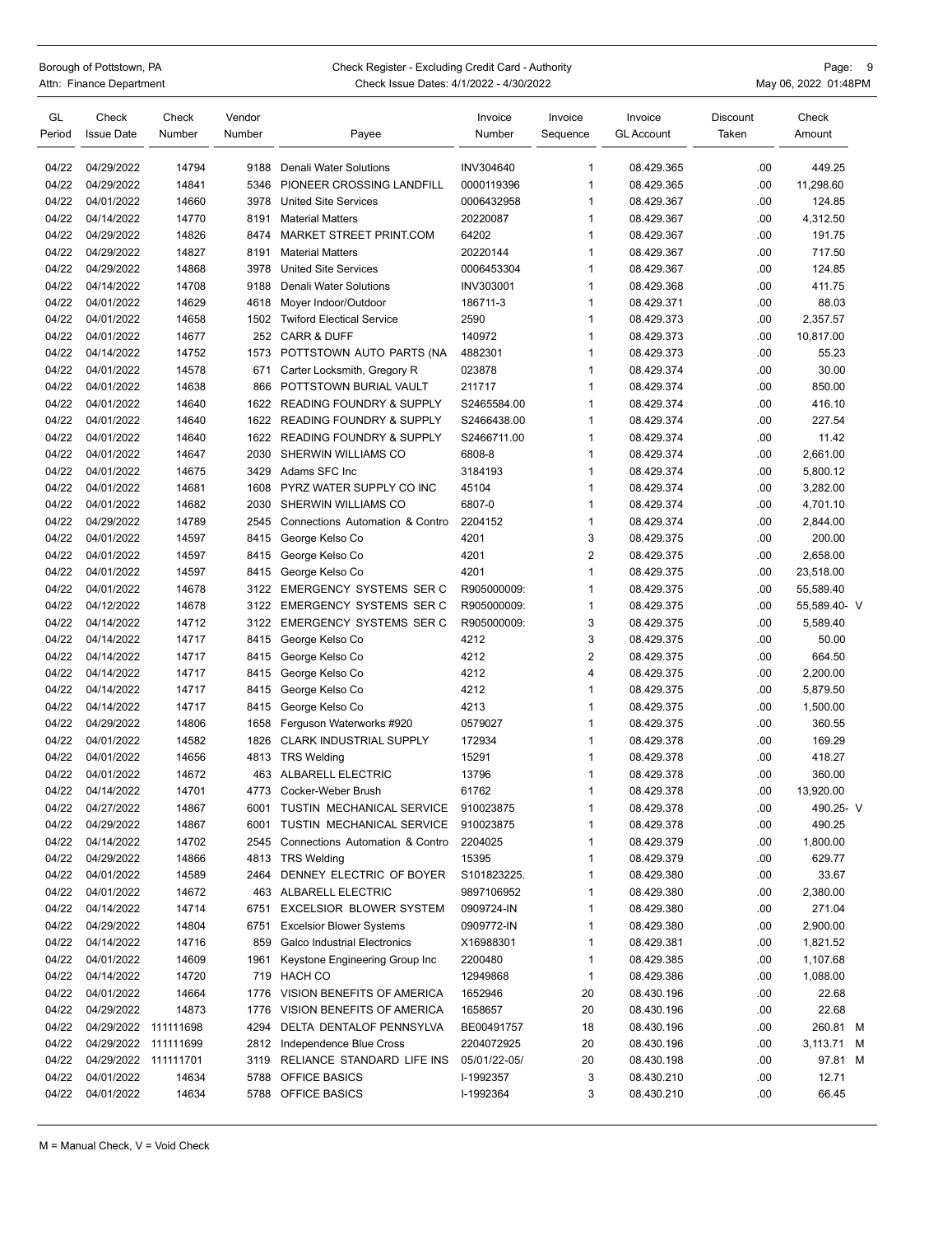## Borough of Pottstown, PA Page: 9<br>Attn: Finance Department Page: 19 Check Register - Excluding Credit Card - Authority Page: 9<br>May 06, 2022 01:48PM Check Issue Dates: 4/1/2022 - 4/30/2022 Check Issue Dates: 4/1/2022 - 4/30/2022

| GL<br>Period   | Check<br><b>Issue Date</b> | Check<br>Number | Vendor<br>Number | Payee                               | Invoice<br>Number | Invoice<br>Sequence | Invoice<br><b>GL Account</b> | Discount<br>Taken | Check<br>Amount  |
|----------------|----------------------------|-----------------|------------------|-------------------------------------|-------------------|---------------------|------------------------------|-------------------|------------------|
| 04/22          | 04/29/2022                 | 14794           | 9188             | Denali Water Solutions              | INV304640         | $\mathbf{1}$        | 08.429.365                   | .00               | 449.25           |
| 04/22          | 04/29/2022                 | 14841           | 5346             | PIONEER CROSSING LANDFILL           | 0000119396        | $\mathbf{1}$        | 08.429.365                   | .00               | 11,298.60        |
| 04/22          | 04/01/2022                 | 14660           | 3978             | <b>United Site Services</b>         | 0006432958        | $\mathbf{1}$        | 08.429.367                   | .00               | 124.85           |
| 04/22          | 04/14/2022                 | 14770           | 8191             | <b>Material Matters</b>             | 20220087          | $\mathbf{1}$        | 08.429.367                   | .00               | 4,312.50         |
| 04/22          | 04/29/2022                 | 14826           | 8474             | MARKET STREET PRINT.COM             | 64202             | $\mathbf{1}$        | 08.429.367                   | .00               | 191.75           |
| 04/22          | 04/29/2022                 | 14827           | 8191             | <b>Material Matters</b>             | 20220144          | $\mathbf{1}$        | 08.429.367                   | .00               | 717.50           |
| 04/22          | 04/29/2022                 | 14868           | 3978             | <b>United Site Services</b>         | 0006453304        | $\mathbf{1}$        | 08.429.367                   | .00               | 124.85           |
| 04/22          | 04/14/2022                 | 14708           | 9188             | Denali Water Solutions              | INV303001         | $\mathbf{1}$        | 08.429.368                   | .00               | 411.75           |
| 04/22          | 04/01/2022                 | 14629           | 4618             | Mover Indoor/Outdoor                | 186711-3          | 1                   | 08.429.371                   | .00               | 88.03            |
| 04/22          | 04/01/2022                 | 14658           | 1502             | <b>Twiford Electical Service</b>    | 2590              | $\mathbf{1}$        | 08.429.373                   | .00               | 2,357.57         |
| 04/22          | 04/01/2022                 | 14677           | 252              | <b>CARR &amp; DUFF</b>              | 140972            | $\mathbf{1}$        | 08.429.373                   | .00               | 10,817.00        |
| 04/22          | 04/14/2022                 | 14752           | 1573             | POTTSTOWN AUTO PARTS (NA            | 4882301           | 1                   | 08.429.373                   | .00               | 55.23            |
| 04/22          | 04/01/2022                 | 14578           | 671              | Carter Locksmith, Gregory R         | 023878            | $\mathbf{1}$        | 08.429.374                   | .00               | 30.00            |
| 04/22          | 04/01/2022                 | 14638           | 866              | POTTSTOWN BURIAL VAULT              | 211717            | 1                   | 08.429.374                   | .00               | 850.00           |
|                | 04/01/2022                 | 14640           |                  | <b>READING FOUNDRY &amp; SUPPLY</b> | S2465584.00       | $\mathbf{1}$        | 08.429.374                   | .00               |                  |
| 04/22<br>04/22 | 04/01/2022                 | 14640           | 1622<br>1622     | <b>READING FOUNDRY &amp; SUPPLY</b> | S2466438.00       | $\mathbf{1}$        | 08.429.374                   | .00               | 416.10<br>227.54 |
| 04/22          |                            |                 |                  | <b>READING FOUNDRY &amp; SUPPLY</b> |                   | $\mathbf{1}$        |                              |                   |                  |
|                | 04/01/2022                 | 14640           | 1622             |                                     | S2466711.00       |                     | 08.429.374                   | .00               | 11.42            |
| 04/22          | 04/01/2022                 | 14647           | 2030             | SHERWIN WILLIAMS CO                 | 6808-8            | $\mathbf{1}$        | 08.429.374                   | .00               | 2,661.00         |
| 04/22          | 04/01/2022                 | 14675           | 3429             | Adams SFC Inc.                      | 3184193           | $\mathbf 1$         | 08.429.374                   | .00               | 5,800.12         |
| 04/22          | 04/01/2022                 | 14681           | 1608             | PYRZ WATER SUPPLY CO INC            | 45104             | $\mathbf{1}$        | 08.429.374                   | .00               | 3,282.00         |
| 04/22          | 04/01/2022                 | 14682           | 2030             | SHERWIN WILLIAMS CO                 | 6807-0            | -1                  | 08.429.374                   | .00               | 4,701.10         |
| 04/22          | 04/29/2022                 | 14789           | 2545             | Connections Automation & Contro     | 2204152           | $\mathbf{1}$        | 08.429.374                   | .00               | 2,844.00         |
| 04/22          | 04/01/2022                 | 14597           | 8415             | George Kelso Co                     | 4201              | 3                   | 08.429.375                   | .00               | 200.00           |
| 04/22          | 04/01/2022                 | 14597           | 8415             | George Kelso Co                     | 4201              | $\overline{2}$      | 08.429.375                   | .00               | 2,658.00         |
| 04/22          | 04/01/2022                 | 14597           | 8415             | George Kelso Co                     | 4201              | $\mathbf{1}$        | 08.429.375                   | .00               | 23,518.00        |
| 04/22          | 04/01/2022                 | 14678           | 3122             | <b>EMERGENCY SYSTEMS SER C</b>      | R905000009:       | $\mathbf{1}$        | 08.429.375                   | .00               | 55,589.40        |
| 04/22          | 04/12/2022                 | 14678           | 3122             | <b>EMERGENCY SYSTEMS SER C</b>      | R905000009:       | $\mathbf{1}$        | 08.429.375                   | .00               | 55,589.40- V     |
| 04/22          | 04/14/2022                 | 14712           | 3122             | <b>EMERGENCY SYSTEMS SER C</b>      | R905000009:       | 3                   | 08.429.375                   | .00               | 5,589.40         |
| 04/22          | 04/14/2022                 | 14717           | 8415             | George Kelso Co                     | 4212              | 3                   | 08.429.375                   | .00               | 50.00            |
| 04/22          | 04/14/2022                 | 14717           | 8415             | George Kelso Co                     | 4212              | 2                   | 08.429.375                   | .00               | 664.50           |
| 04/22          | 04/14/2022                 | 14717           | 8415             | George Kelso Co                     | 4212              | 4                   | 08.429.375                   | .00               | 2,200.00         |
| 04/22          | 04/14/2022                 | 14717           | 8415             | George Kelso Co                     | 4212              | 1                   | 08.429.375                   | .00               | 5,879.50         |
| 04/22          | 04/14/2022                 | 14717           | 8415             | George Kelso Co                     | 4213              | $\mathbf{1}$        | 08.429.375                   | .00               | 1,500.00         |
| 04/22          | 04/29/2022                 | 14806           | 1658             | Ferguson Waterworks #920            | 0579027           | 1                   | 08.429.375                   | .00               | 360.55           |
| 04/22          | 04/01/2022                 | 14582           | 1826             | <b>CLARK INDUSTRIAL SUPPLY</b>      | 172934            | $\mathbf{1}$        | 08.429.378                   | .00               | 169.29           |
| 04/22          | 04/01/2022                 | 14656           | 4813             | <b>TRS Welding</b>                  | 15291             | $\mathbf{1}$        | 08.429.378                   | .00               | 418.27           |
| 04/22          | 04/01/2022                 | 14672           | 463              | <b>ALBARELL ELECTRIC</b>            | 13796             | 1                   | 08.429.378                   | .00               | 360.00           |
| 04/22          | 04/14/2022                 | 14701           | 4773             | Cocker-Weber Brush                  | 61762             | 1                   | 08.429.378                   | .00               | 13,920.00        |
| 04/22          | 04/27/2022                 | 14867           | 6001             | TUSTIN MECHANICAL SERVICE           | 910023875         | 1                   | 08.429.378                   | .00               | 490.25- V        |
| 04/22          | 04/29/2022                 | 14867           | 6001             | TUSTIN MECHANICAL SERVICE           | 910023875         | 1                   | 08.429.378                   | .00               | 490.25           |
| 04/22          | 04/14/2022                 | 14702           | 2545             | Connections Automation & Contro     | 2204025           | 1                   | 08.429.379                   | .00               | 1,800.00         |
| 04/22          | 04/29/2022                 | 14866           | 4813             | <b>TRS Welding</b>                  | 15395             | 1                   | 08.429.379                   | .00               | 629.77           |
| 04/22          | 04/01/2022                 | 14589           | 2464             | DENNEY ELECTRIC OF BOYER            | S101823225.       | 1                   | 08.429.380                   | .00               | 33.67            |
| 04/22          | 04/01/2022                 | 14672           | 463              | ALBARELL ELECTRIC                   | 9897106952        | 1                   | 08.429.380                   | .00               | 2,380.00         |
| 04/22          | 04/14/2022                 | 14714           | 6751             | <b>EXCELSIOR BLOWER SYSTEM</b>      | 0909724-IN        | 1                   | 08.429.380                   | .00               | 271.04           |
| 04/22          | 04/29/2022                 | 14804           | 6751             | <b>Excelsior Blower Systems</b>     | 0909772-IN        | 1                   | 08.429.380                   | .00               | 2,900.00         |
| 04/22          | 04/14/2022                 | 14716           | 859              | <b>Galco Industrial Electronics</b> | X16988301         | 1                   | 08.429.381                   | .00               | 1,821.52         |
| 04/22          | 04/01/2022                 | 14609           | 1961             | Keystone Engineering Group Inc      | 2200480           | 1                   | 08.429.385                   | .00               | 1,107.68         |
| 04/22          | 04/14/2022                 | 14720           | 719              | HACH CO                             | 12949868          | $\mathbf{1}$        | 08.429.386                   | .00               | 1,088.00         |
| 04/22          | 04/01/2022                 | 14664           | 1776             | VISION BENEFITS OF AMERICA          | 1652946           | 20                  | 08.430.196                   | .00               | 22.68            |
| 04/22          | 04/29/2022                 | 14873           | 1776             | VISION BENEFITS OF AMERICA          | 1658657           | 20                  | 08.430.196                   | .00               | 22.68            |
| 04/22          | 04/29/2022 111111698       |                 | 4294             | DELTA DENTALOF PENNSYLVA            | BE00491757        | 18                  | 08.430.196                   | .00               | 260.81 M         |
| 04/22          | 04/29/2022                 | 111111699       | 2812             | Independence Blue Cross             | 2204072925        | 20                  | 08.430.196                   | .00               | 3,113.71 M       |
| 04/22          | 04/29/2022 111111701       |                 | 3119             | RELIANCE STANDARD LIFE INS          | 05/01/22-05/      | 20                  | 08.430.198                   | .00               | 97.81 M          |
| 04/22          | 04/01/2022                 | 14634           | 5788             | OFFICE BASICS                       | I-1992357         | 3                   | 08.430.210                   | .00               | 12.71            |
| 04/22          | 04/01/2022                 | 14634           | 5788             | <b>OFFICE BASICS</b>                | I-1992364         | 3                   | 08.430.210                   | .00               | 66.45            |
|                |                            |                 |                  |                                     |                   |                     |                              |                   |                  |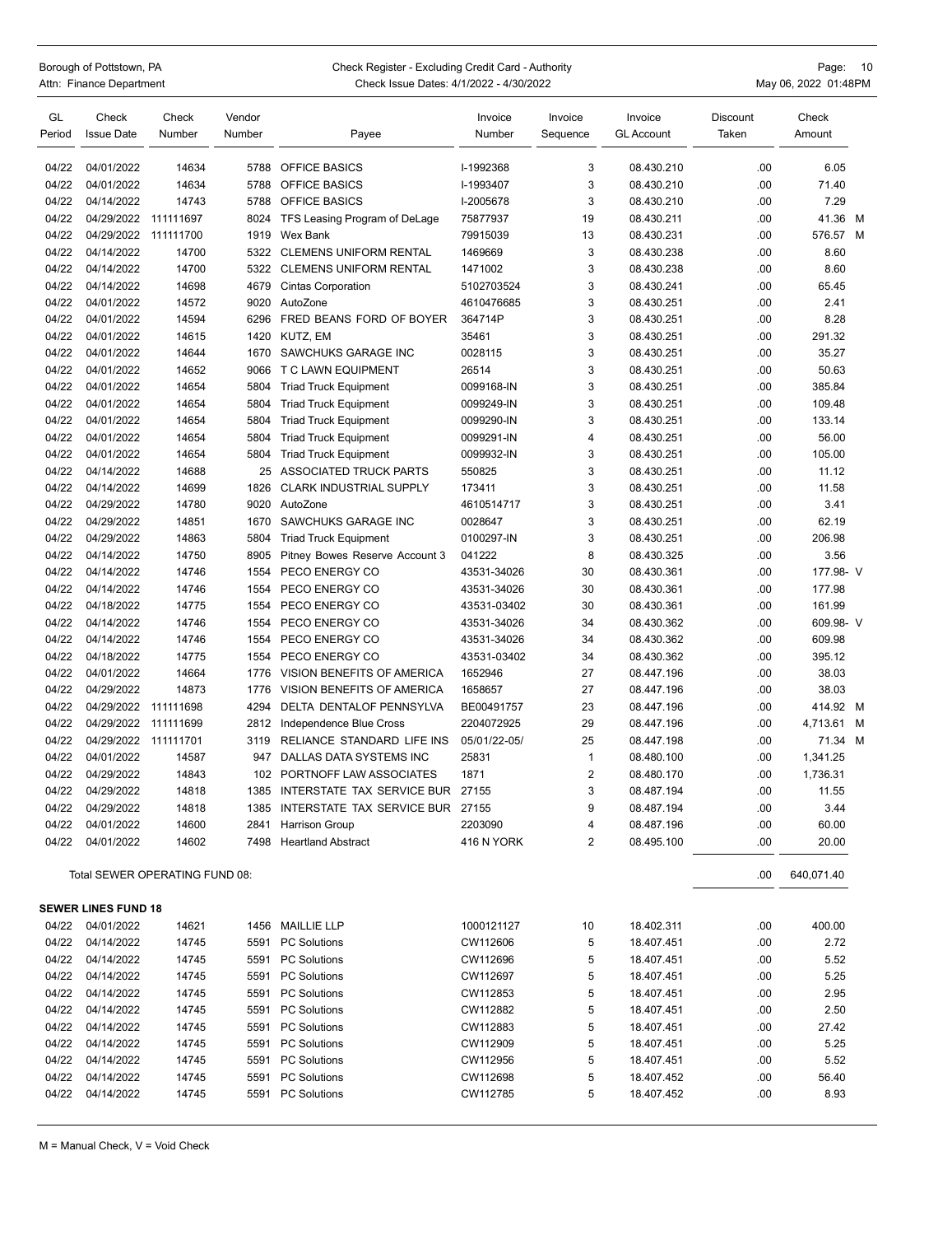## Borough of Pottstown, PA Check Register - Excluding Credit Card - Authority Page: 10<br>Attn: Finance Department Page: 10 Check Issue Dates: 4/1/2022 - 4/30/2022 Check Issue Dates: 4/1/2022 - 4/30/2022 **Actual Check Issue Dates: 4/1/2022** - 4/30/2022 May 06, 2022 01:48PM

| GL<br>Period | Check<br><b>Issue Date</b> | Check<br>Number                | Vendor<br>Number | Payee                                 | Invoice<br>Number | Invoice<br>Sequence | Invoice<br><b>GL Account</b> | Discount<br>Taken | Check<br>Amount |  |
|--------------|----------------------------|--------------------------------|------------------|---------------------------------------|-------------------|---------------------|------------------------------|-------------------|-----------------|--|
| 04/22        | 04/01/2022                 | 14634                          | 5788             | <b>OFFICE BASICS</b>                  | I-1992368         | 3                   | 08.430.210                   | .00               | 6.05            |  |
| 04/22        | 04/01/2022                 | 14634                          | 5788             | <b>OFFICE BASICS</b>                  | I-1993407         | 3                   | 08.430.210                   | .00               | 71.40           |  |
| 04/22        | 04/14/2022                 | 14743                          | 5788             | <b>OFFICE BASICS</b>                  | I-2005678         | 3                   | 08.430.210                   | .00               | 7.29            |  |
| 04/22        | 04/29/2022                 | 111111697                      | 8024             | TFS Leasing Program of DeLage         | 75877937          | 19                  | 08.430.211                   | .00               | 41.36 M         |  |
| 04/22        | 04/29/2022                 | 111111700                      | 1919             | Wex Bank                              | 79915039          | 13                  | 08.430.231                   | .00               | 576.57 M        |  |
| 04/22        | 04/14/2022                 | 14700                          | 5322             | <b>CLEMENS UNIFORM RENTAL</b>         | 1469669           | 3                   | 08.430.238                   | .00               | 8.60            |  |
| 04/22        | 04/14/2022                 | 14700                          | 5322             | <b>CLEMENS UNIFORM RENTAL</b>         | 1471002           | 3                   | 08.430.238                   | .00               | 8.60            |  |
| 04/22        | 04/14/2022                 | 14698                          | 4679             | <b>Cintas Corporation</b>             | 5102703524        | 3                   | 08.430.241                   | .00               | 65.45           |  |
| 04/22        | 04/01/2022                 | 14572                          | 9020             | AutoZone                              | 4610476685        | 3                   | 08.430.251                   | .00               | 2.41            |  |
| 04/22        | 04/01/2022                 | 14594                          | 6296             | FRED BEANS FORD OF BOYER              | 364714P           | 3                   | 08.430.251                   | .00               | 8.28            |  |
| 04/22        | 04/01/2022                 | 14615                          | 1420             | KUTZ, EM                              | 35461             | 3                   | 08.430.251                   | .00               | 291.32          |  |
| 04/22        | 04/01/2022                 | 14644                          | 1670             | SAWCHUKS GARAGE INC                   | 0028115           | 3                   | 08.430.251                   | .00               | 35.27           |  |
| 04/22        | 04/01/2022                 | 14652                          | 9066             | T C LAWN EQUIPMENT                    | 26514             | 3                   | 08.430.251                   | .00               | 50.63           |  |
| 04/22        | 04/01/2022                 | 14654                          | 5804             | <b>Triad Truck Equipment</b>          | 0099168-IN        | 3                   | 08.430.251                   | .00               | 385.84          |  |
| 04/22        | 04/01/2022                 | 14654                          | 5804             | <b>Triad Truck Equipment</b>          | 0099249-IN        | 3                   | 08.430.251                   | .00               | 109.48          |  |
| 04/22        | 04/01/2022                 | 14654                          | 5804             | <b>Triad Truck Equipment</b>          | 0099290-IN        | 3                   | 08.430.251                   | .00               | 133.14          |  |
| 04/22        | 04/01/2022                 | 14654                          | 5804             | <b>Triad Truck Equipment</b>          | 0099291-IN        | $\overline{4}$      | 08.430.251                   | .00               | 56.00           |  |
| 04/22        | 04/01/2022                 | 14654                          | 5804             | <b>Triad Truck Equipment</b>          | 0099932-IN        | 3                   | 08.430.251                   | .00               | 105.00          |  |
| 04/22        | 04/14/2022                 | 14688                          | 25               | ASSOCIATED TRUCK PARTS                | 550825            | 3                   | 08.430.251                   | .00               | 11.12           |  |
| 04/22        | 04/14/2022                 | 14699                          | 1826             | <b>CLARK INDUSTRIAL SUPPLY</b>        | 173411            | 3                   | 08.430.251                   | .00               | 11.58           |  |
| 04/22        | 04/29/2022                 | 14780                          | 9020             | AutoZone                              | 4610514717        | 3                   | 08.430.251                   | .00               | 3.41            |  |
| 04/22        | 04/29/2022                 | 14851                          | 1670             | SAWCHUKS GARAGE INC                   | 0028647           | 3                   | 08.430.251                   | .00               | 62.19           |  |
| 04/22        | 04/29/2022                 | 14863                          | 5804             | <b>Triad Truck Equipment</b>          | 0100297-IN        | 3                   | 08.430.251                   | .00               | 206.98          |  |
| 04/22        | 04/14/2022                 | 14750                          | 8905             | Pitney Bowes Reserve Account 3        | 041222            | 8                   | 08.430.325                   | .00               | 3.56            |  |
| 04/22        | 04/14/2022                 | 14746                          | 1554             | PECO ENERGY CO                        | 43531-34026       | 30                  | 08.430.361                   | .00               | 177.98- V       |  |
| 04/22        | 04/14/2022                 | 14746                          | 1554             | PECO ENERGY CO                        | 43531-34026       | 30                  | 08.430.361                   | .00               | 177.98          |  |
| 04/22        | 04/18/2022                 | 14775                          | 1554             | PECO ENERGY CO                        | 43531-03402       | 30                  | 08.430.361                   | .00               | 161.99          |  |
| 04/22        | 04/14/2022                 | 14746                          | 1554             | PECO ENERGY CO                        | 43531-34026       | 34                  | 08.430.362                   | .00               | 609.98- V       |  |
| 04/22        | 04/14/2022                 | 14746                          | 1554             | PECO ENERGY CO                        | 43531-34026       | 34                  | 08.430.362                   | .00               | 609.98          |  |
| 04/22        | 04/18/2022                 | 14775                          | 1554             | PECO ENERGY CO                        | 43531-03402       | 34                  | 08.430.362                   | .00               | 395.12          |  |
| 04/22        | 04/01/2022                 | 14664                          | 1776             | VISION BENEFITS OF AMERICA            | 1652946           | 27                  | 08.447.196                   | .00               | 38.03           |  |
| 04/22        | 04/29/2022                 | 14873                          | 1776             | VISION BENEFITS OF AMERICA            | 1658657           | 27                  | 08.447.196                   | .00               | 38.03           |  |
| 04/22        | 04/29/2022                 | 111111698                      | 4294             | DELTA DENTALOF PENNSYLVA              | BE00491757        | 23                  | 08.447.196                   | .00               | 414.92 M        |  |
| 04/22        | 04/29/2022                 | 111111699                      | 2812             | Independence Blue Cross               | 2204072925        | 29                  | 08.447.196                   | .00               | 4,713.61 M      |  |
| 04/22        | 04/29/2022                 | 111111701                      | 3119             | RELIANCE STANDARD LIFE INS            | 05/01/22-05/      | 25                  | 08.447.198                   | .00               | 71.34 M         |  |
| 04/22        | 04/01/2022                 | 14587                          | 947              | <b>DALLAS DATA SYSTEMS INC</b>        | 25831             | $\mathbf{1}$        | 08.480.100                   | .00               | 1,341.25        |  |
| 04/22        | 04/29/2022                 | 14843                          | 102              | PORTNOFF LAW ASSOCIATES               | 1871              | $\overline{2}$      | 08.480.170                   | .00               | 1.736.31        |  |
| 04/22        | 04/29/2022                 | 14818                          | 1385             | INTERSTATE TAX SERVICE BUR            | 27155             | 3                   | 08.487.194                   | .00               | 11.55           |  |
| 04/22        | 04/29/2022                 | 14818                          |                  | 1385 INTERSTATE TAX SERVICE BUR 27155 |                   | 9                   | 08.487.194                   | .00               | 3.44            |  |
| 04/22        | 04/01/2022                 | 14600                          | 2841             | <b>Harrison Group</b>                 | 2203090           | 4                   | 08.487.196                   | .00               | 60.00           |  |
| 04/22        | 04/01/2022                 | 14602                          | 7498             | <b>Heartland Abstract</b>             | 416 N YORK        | $\overline{2}$      | 08.495.100                   | .00               | 20.00           |  |
|              |                            | Total SEWER OPERATING FUND 08: |                  |                                       |                   |                     |                              | .00               | 640,071.40      |  |
|              | <b>SEWER LINES FUND 18</b> |                                |                  |                                       |                   |                     |                              |                   |                 |  |
| 04/22        | 04/01/2022                 | 14621                          |                  | 1456 MAILLIE LLP                      | 1000121127        | 10                  | 18.402.311                   | .00               | 400.00          |  |
| 04/22        | 04/14/2022                 | 14745                          | 5591             | <b>PC Solutions</b>                   | CW112606          | 5                   | 18.407.451                   | .00               | 2.72            |  |
| 04/22        | 04/14/2022                 | 14745                          |                  | 5591 PC Solutions                     | CW112696          | 5                   | 18.407.451                   | .00               | 5.52            |  |
| 04/22        | 04/14/2022                 | 14745                          |                  | 5591 PC Solutions                     | CW112697          | 5                   | 18.407.451                   | .00               | 5.25            |  |
| 04/22        | 04/14/2022                 | 14745                          | 5591             | <b>PC Solutions</b>                   | CW112853          | 5                   | 18.407.451                   | .00               | 2.95            |  |
| 04/22        | 04/14/2022                 | 14745                          | 5591             | <b>PC Solutions</b>                   | CW112882          | 5                   | 18.407.451                   | .00               | 2.50            |  |
| 04/22        | 04/14/2022                 | 14745                          | 5591             | <b>PC Solutions</b>                   | CW112883          | 5                   | 18.407.451                   | .00               | 27.42           |  |
| 04/22        | 04/14/2022                 | 14745                          |                  | 5591 PC Solutions                     | CW112909          | 5                   | 18.407.451                   | .00               | 5.25            |  |
| 04/22        | 04/14/2022                 | 14745                          | 5591             | <b>PC Solutions</b>                   | CW112956          | 5                   | 18.407.451                   | .00               | 5.52            |  |
| 04/22        | 04/14/2022                 | 14745                          | 5591             | <b>PC Solutions</b>                   | CW112698          | 5                   | 18.407.452                   | .00               | 56.40           |  |
| 04/22        | 04/14/2022                 | 14745                          |                  | 5591 PC Solutions                     | CW112785          | 5                   | 18.407.452                   | .00               | 8.93            |  |
|              |                            |                                |                  |                                       |                   |                     |                              |                   |                 |  |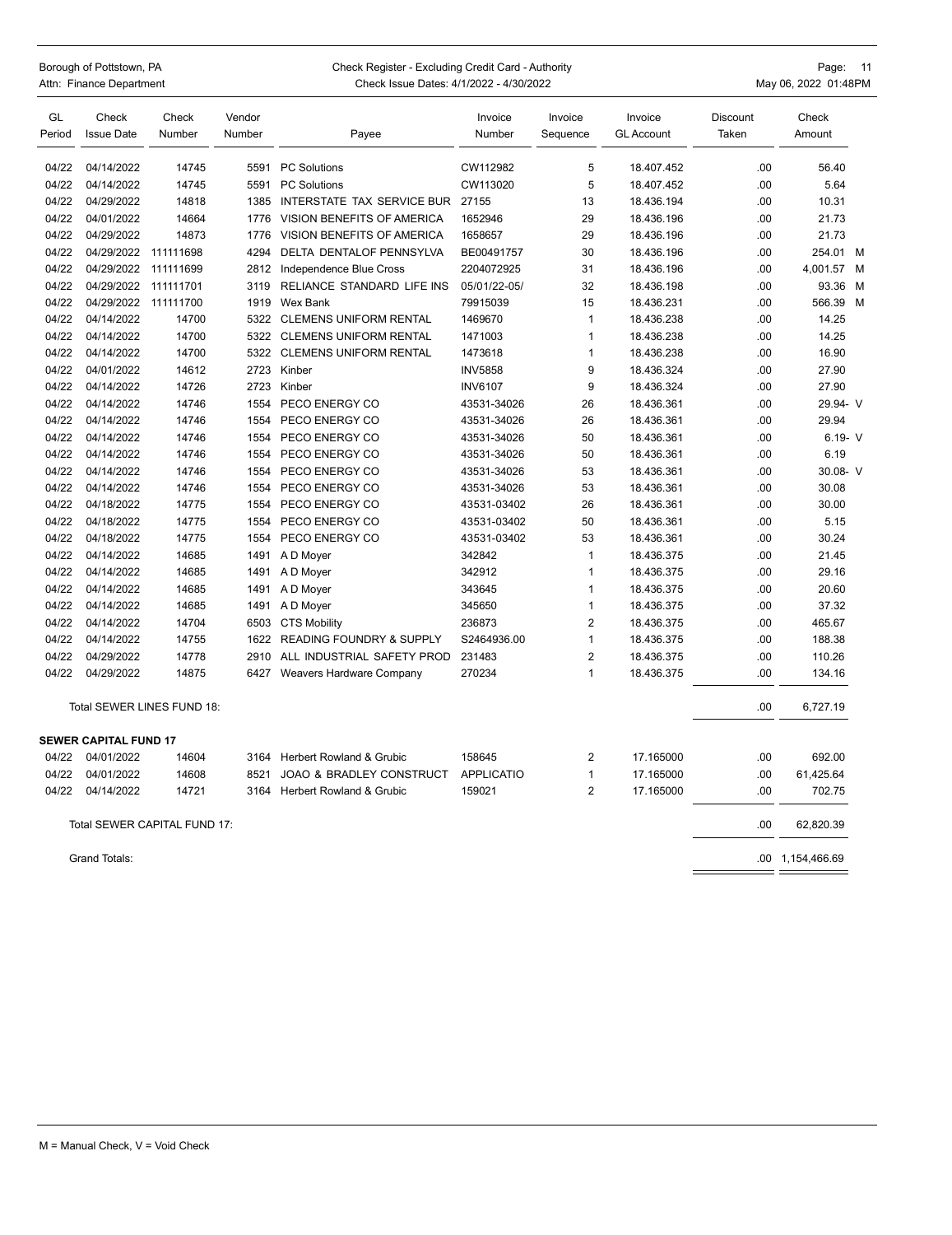| Borough of Pottstown, PA | Check Register - Excluding Credit Card - Authority | Page: 11             |
|--------------------------|----------------------------------------------------|----------------------|
| Attn: Finance Department | Check Issue Dates: 4/1/2022 - 4/30/2022            | May 06, 2022 01:48PM |

| GL     | Check                        | Check                        | Vendor |                                     | Invoice           | Invoice        | Invoice           | Discount | Check            |  |
|--------|------------------------------|------------------------------|--------|-------------------------------------|-------------------|----------------|-------------------|----------|------------------|--|
| Period | <b>Issue Date</b>            | Number                       | Number | Payee                               | Number            | Sequence       | <b>GL Account</b> | Taken    | Amount           |  |
| 04/22  | 04/14/2022                   | 14745                        |        | 5591 PC Solutions                   | CW112982          | 5              | 18.407.452        | .00      | 56.40            |  |
| 04/22  | 04/14/2022                   | 14745                        | 5591   | <b>PC Solutions</b>                 | CW113020          | 5              | 18.407.452        | .00      | 5.64             |  |
| 04/22  | 04/29/2022                   | 14818                        | 1385   | INTERSTATE TAX SERVICE BUR          | 27155             | 13             | 18.436.194        | .00      | 10.31            |  |
| 04/22  | 04/01/2022                   | 14664                        | 1776   | VISION BENEFITS OF AMERICA          | 1652946           | 29             | 18.436.196        | .00      | 21.73            |  |
| 04/22  | 04/29/2022                   | 14873                        | 1776   | VISION BENEFITS OF AMERICA          | 1658657           | 29             | 18.436.196        | .00      | 21.73            |  |
| 04/22  | 04/29/2022                   | 111111698                    | 4294   | DELTA DENTALOF PENNSYLVA            | BE00491757        | 30             | 18.436.196        | .00      | 254.01 M         |  |
| 04/22  | 04/29/2022                   | 111111699                    | 2812   | Independence Blue Cross             | 2204072925        | 31             | 18.436.196        | .00      | 4,001.57 M       |  |
| 04/22  | 04/29/2022                   | 111111701                    | 3119   | RELIANCE STANDARD LIFE INS          | 05/01/22-05/      | 32             | 18.436.198        | .00      | 93.36 M          |  |
| 04/22  | 04/29/2022                   | 111111700                    | 1919   | Wex Bank                            | 79915039          | 15             | 18.436.231        | .00      | 566.39 M         |  |
| 04/22  | 04/14/2022                   | 14700                        |        | 5322 CLEMENS UNIFORM RENTAL         | 1469670           | $\mathbf{1}$   | 18.436.238        | .00      | 14.25            |  |
| 04/22  | 04/14/2022                   | 14700                        |        | 5322 CLEMENS UNIFORM RENTAL         | 1471003           | 1              | 18.436.238        | .00      | 14.25            |  |
| 04/22  | 04/14/2022                   | 14700                        |        | 5322 CLEMENS UNIFORM RENTAL         | 1473618           | 1              | 18.436.238        | .00      | 16.90            |  |
| 04/22  | 04/01/2022                   | 14612                        |        | 2723 Kinber                         | <b>INV5858</b>    | 9              | 18.436.324        | .00      | 27.90            |  |
| 04/22  | 04/14/2022                   | 14726                        | 2723   | Kinber                              | <b>INV6107</b>    | 9              | 18.436.324        | .00      | 27.90            |  |
| 04/22  | 04/14/2022                   | 14746                        | 1554   | PECO ENERGY CO                      | 43531-34026       | 26             | 18.436.361        | .00      | 29.94- V         |  |
| 04/22  | 04/14/2022                   | 14746                        | 1554   | PECO ENERGY CO                      | 43531-34026       | 26             | 18.436.361        | .00      | 29.94            |  |
| 04/22  | 04/14/2022                   | 14746                        | 1554   | PECO ENERGY CO                      | 43531-34026       | 50             | 18.436.361        | .00      | $6.19 - V$       |  |
| 04/22  | 04/14/2022                   | 14746                        | 1554   | PECO ENERGY CO                      | 43531-34026       | 50             | 18.436.361        | .00      | 6.19             |  |
| 04/22  | 04/14/2022                   | 14746                        | 1554   | PECO ENERGY CO                      | 43531-34026       | 53             | 18.436.361        | .00      | 30.08- V         |  |
| 04/22  | 04/14/2022                   | 14746                        | 1554   | PECO ENERGY CO                      | 43531-34026       | 53             | 18.436.361        | .00      | 30.08            |  |
| 04/22  | 04/18/2022                   | 14775                        | 1554   | PECO ENERGY CO                      | 43531-03402       | 26             | 18.436.361        | .00      | 30.00            |  |
| 04/22  | 04/18/2022                   | 14775                        | 1554   | PECO ENERGY CO                      | 43531-03402       | 50             | 18.436.361        | .00      | 5.15             |  |
| 04/22  | 04/18/2022                   | 14775                        | 1554   | PECO ENERGY CO                      | 43531-03402       | 53             | 18.436.361        | .00      | 30.24            |  |
| 04/22  | 04/14/2022                   | 14685                        | 1491   | A D Moyer                           | 342842            | 1              | 18.436.375        | .00      | 21.45            |  |
| 04/22  | 04/14/2022                   | 14685                        | 1491   | A D Moyer                           | 342912            | $\mathbf{1}$   | 18.436.375        | .00      | 29.16            |  |
| 04/22  | 04/14/2022                   | 14685                        | 1491   | A D Moyer                           | 343645            | $\mathbf{1}$   | 18.436.375        | .00      | 20.60            |  |
| 04/22  | 04/14/2022                   | 14685                        | 1491   | A D Moyer                           | 345650            | 1              | 18.436.375        | .00      | 37.32            |  |
| 04/22  | 04/14/2022                   | 14704                        |        | 6503 CTS Mobility                   | 236873            | $\overline{2}$ | 18.436.375        | .00      | 465.67           |  |
| 04/22  | 04/14/2022                   | 14755                        | 1622   | <b>READING FOUNDRY &amp; SUPPLY</b> | S2464936.00       | $\mathbf{1}$   | 18.436.375        | .00      | 188.38           |  |
| 04/22  | 04/29/2022                   | 14778                        | 2910   | ALL INDUSTRIAL SAFETY PROD          | 231483            | $\overline{2}$ | 18.436.375        | .00      | 110.26           |  |
| 04/22  | 04/29/2022                   | 14875                        | 6427   | Weavers Hardware Company            | 270234            | 1              | 18.436.375        | .00      | 134.16           |  |
|        |                              | Total SEWER LINES FUND 18:   |        |                                     |                   |                |                   | .00      | 6,727.19         |  |
|        | <b>SEWER CAPITAL FUND 17</b> |                              |        |                                     |                   |                |                   |          |                  |  |
| 04/22  | 04/01/2022                   | 14604                        | 3164   | <b>Herbert Rowland &amp; Grubic</b> | 158645            | 2              | 17.165000         | .00      | 692.00           |  |
| 04/22  | 04/01/2022                   | 14608                        | 8521   | JOAO & BRADLEY CONSTRUCT            | <b>APPLICATIO</b> | 1              | 17.165000         | .00      | 61,425.64        |  |
| 04/22  | 04/14/2022                   | 14721                        | 3164   | Herbert Rowland & Grubic            | 159021            | $\overline{2}$ | 17.165000         | .00      | 702.75           |  |
|        |                              | Total SEWER CAPITAL FUND 17: |        |                                     |                   |                |                   | .00      | 62,820.39        |  |
|        | <b>Grand Totals:</b>         |                              |        |                                     |                   |                |                   |          | .00 1,154,466.69 |  |

 $=$   $=$